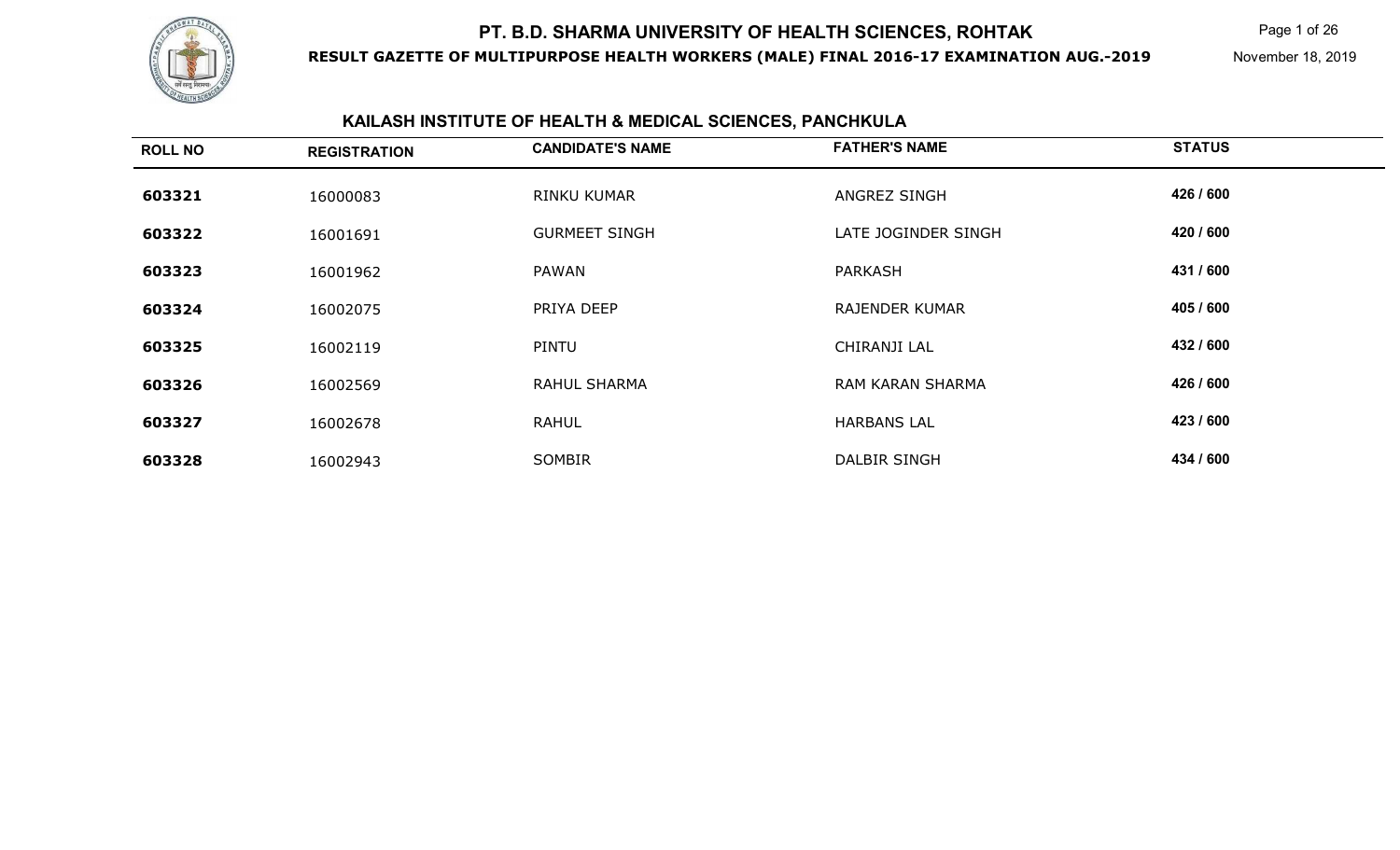

**RESULT GAZETTE OF MULTIPURPOSE HEALTH WORKERS (MALE) FINAL 2016-17 EXAMINATION AUG.-2019**

Page 1 of 26

November 18, 2019

## **KAILASH INSTITUTE OF HEALTH & MEDICAL SCIENCES, PANCHKULA**

| <b>ROLL NO</b> | <b>REGISTRATION</b> | <b>CANDIDATE'S NAME</b> | <b>FATHER'S NAME</b>    | <b>STATUS</b> |
|----------------|---------------------|-------------------------|-------------------------|---------------|
| 603321         | 16000083            | RINKU KUMAR             | ANGREZ SINGH            | 426 / 600     |
| 603322         | 16001691            | <b>GURMEET SINGH</b>    | LATE JOGINDER SINGH     | 420 / 600     |
| 603323         | 16001962            | <b>PAWAN</b>            | <b>PARKASH</b>          | 431 / 600     |
| 603324         | 16002075            | PRIYA DEEP              | <b>RAJENDER KUMAR</b>   | 405 / 600     |
| 603325         | 16002119            | <b>PINTU</b>            | CHIRANJI LAL            | 432 / 600     |
| 603326         | 16002569            | <b>RAHUL SHARMA</b>     | <b>RAM KARAN SHARMA</b> | 426 / 600     |
| 603327         | 16002678            | <b>RAHUL</b>            | <b>HARBANS LAL</b>      | 423 / 600     |
| 603328         | 16002943            | <b>SOMBIR</b>           | DALBIR SINGH            | 434 / 600     |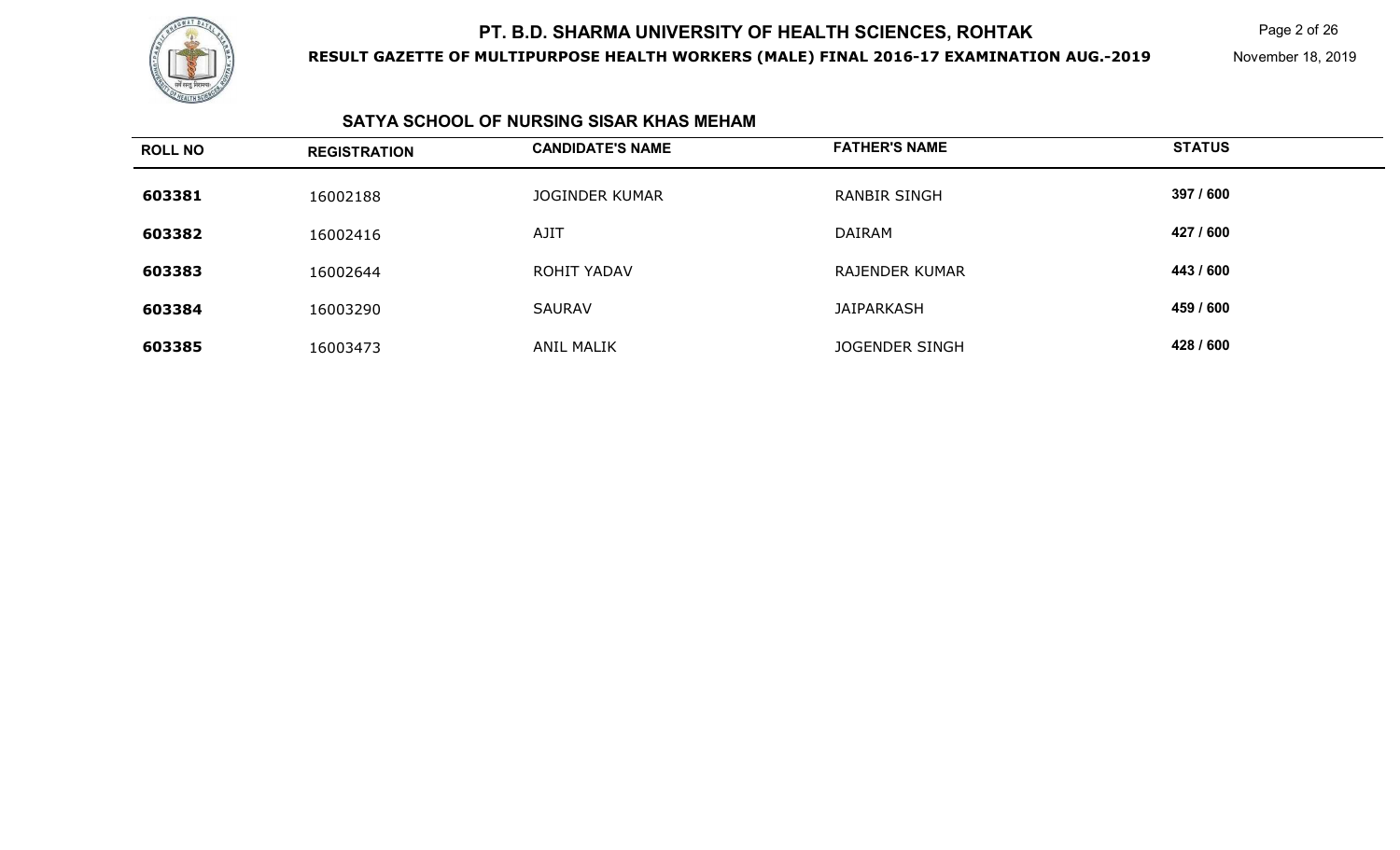

**RESULT GAZETTE OF MULTIPURPOSE HEALTH WORKERS (MALE) FINAL 2016-17 EXAMINATION AUG.-2019**

Page 2 of 26

November 18, 2019

#### **SATYA SCHOOL OF NURSING SISAR KHAS MEHAM**

| <b>ROLL NO</b> | <b>REGISTRATION</b> | <b>CANDIDATE'S NAME</b> | <b>FATHER'S NAME</b>  | <b>STATUS</b> |
|----------------|---------------------|-------------------------|-----------------------|---------------|
| 603381         | 16002188            | <b>JOGINDER KUMAR</b>   | <b>RANBIR SINGH</b>   | 397 / 600     |
| 603382         | 16002416            | AJIT                    | DAIRAM                | 427 / 600     |
| 603383         | 16002644            | ROHIT YADAV             | <b>RAJENDER KUMAR</b> | 443 / 600     |
| 603384         | 16003290            | SAURAV                  | <b>JAIPARKASH</b>     | 459 / 600     |
| 603385         | 16003473            | ANIL MALIK              | JOGENDER SINGH        | 428 / 600     |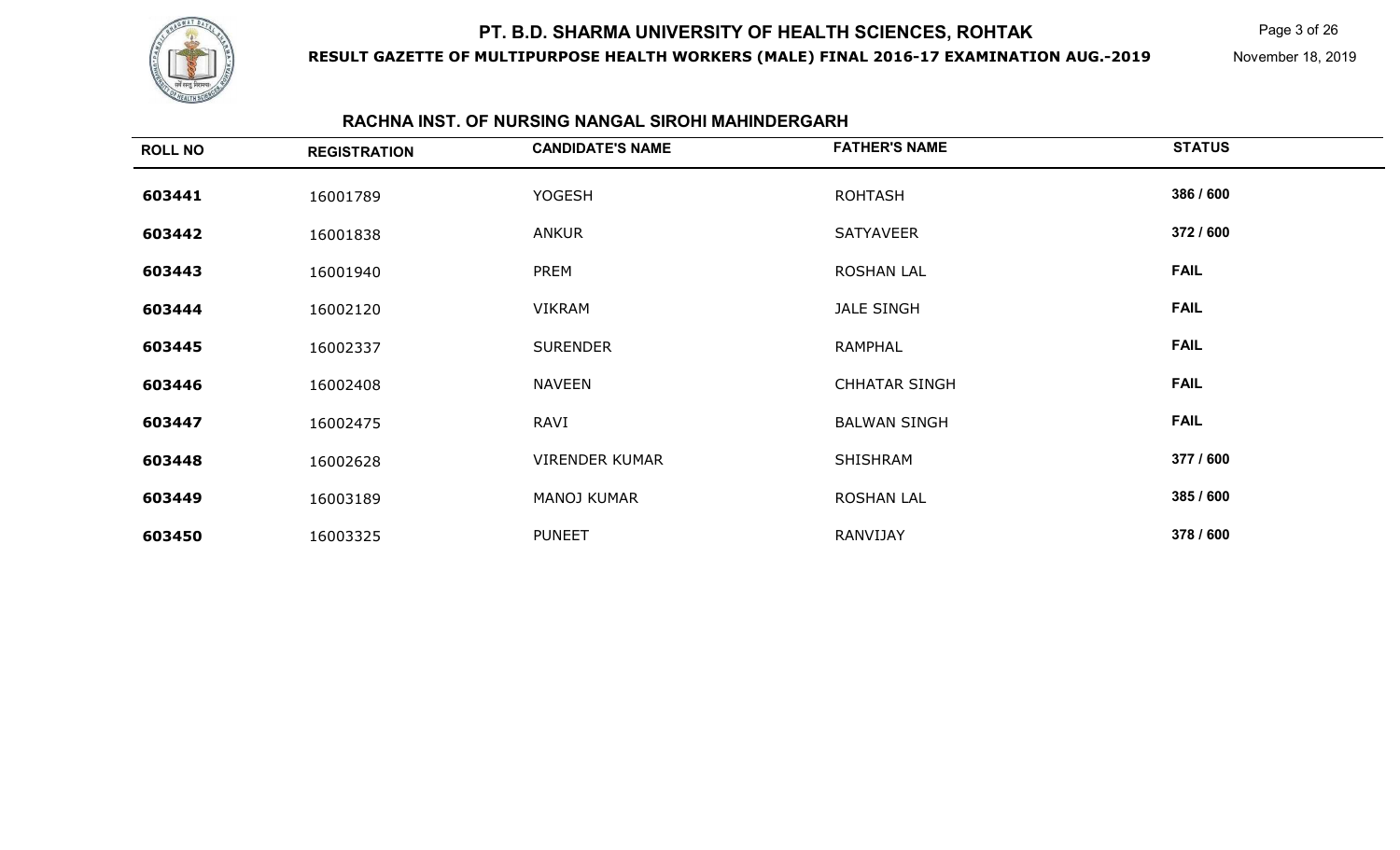

**RESULT GAZETTE OF MULTIPURPOSE HEALTH WORKERS (MALE) FINAL 2016-17 EXAMINATION AUG.-2019**

Page 3 of 26

November 18, 2019

### **RACHNA INST. OF NURSING NANGAL SIROHI MAHINDERGARH**

| <b>ROLL NO</b> | <b>REGISTRATION</b> | <b>CANDIDATE'S NAME</b> | <b>FATHER'S NAME</b> | <b>STATUS</b> |
|----------------|---------------------|-------------------------|----------------------|---------------|
| 603441         | 16001789            | <b>YOGESH</b>           | <b>ROHTASH</b>       | 386 / 600     |
| 603442         | 16001838            | ANKUR                   | SATYAVEER            | 372 / 600     |
| 603443         | 16001940            | <b>PREM</b>             | <b>ROSHAN LAL</b>    | <b>FAIL</b>   |
| 603444         | 16002120            | <b>VIKRAM</b>           | JALE SINGH           | <b>FAIL</b>   |
| 603445         | 16002337            | <b>SURENDER</b>         | RAMPHAL              | <b>FAIL</b>   |
| 603446         | 16002408            | <b>NAVEEN</b>           | <b>CHHATAR SINGH</b> | <b>FAIL</b>   |
| 603447         | 16002475            | RAVI                    | <b>BALWAN SINGH</b>  | <b>FAIL</b>   |
| 603448         | 16002628            | <b>VIRENDER KUMAR</b>   | SHISHRAM             | 377 / 600     |
| 603449         | 16003189            | MANOJ KUMAR             | <b>ROSHAN LAL</b>    | 385 / 600     |
| 603450         | 16003325            | <b>PUNEET</b>           | RANVIJAY             | 378 / 600     |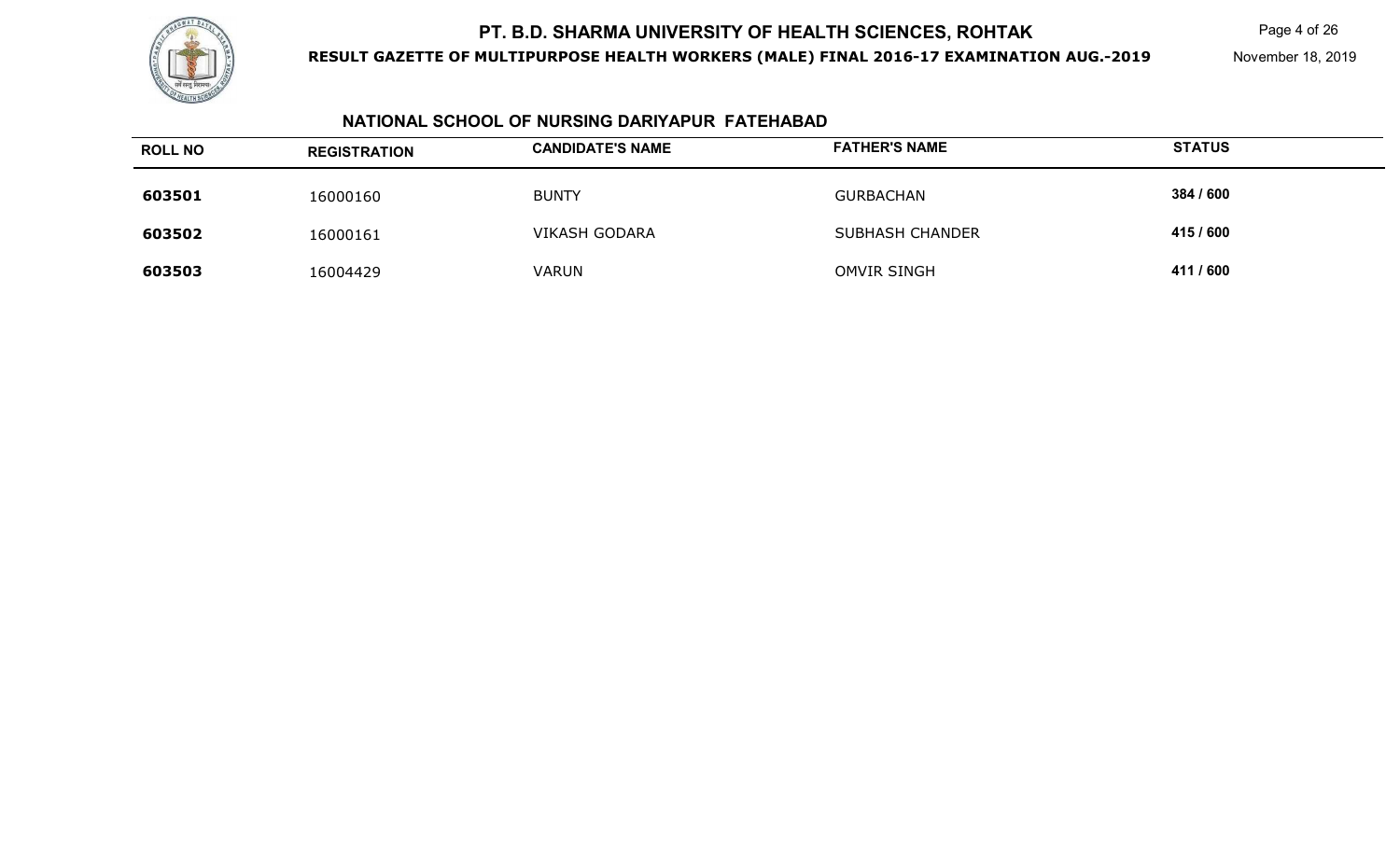

**RESULT GAZETTE OF MULTIPURPOSE HEALTH WORKERS (MALE) FINAL 2016-17 EXAMINATION AUG.-2019**

Page 4 of 26

November 18, 2019

### **NATIONAL SCHOOL OF NURSING DARIYAPUR FATEHABAD**

| <b>ROLL NO</b> | <b>REGISTRATION</b> | <b>CANDIDATE'S NAME</b> | <b>FATHER'S NAME</b> | <b>STATUS</b> |
|----------------|---------------------|-------------------------|----------------------|---------------|
| 603501         | 16000160            | <b>BUNTY</b>            | <b>GURBACHAN</b>     | 384 / 600     |
| 603502         | 16000161            | <b>VIKASH GODARA</b>    | SUBHASH CHANDER      | 415 / 600     |
| 603503         | 16004429            | <b>VARUN</b>            | OMVIR SINGH          | 411 / 600     |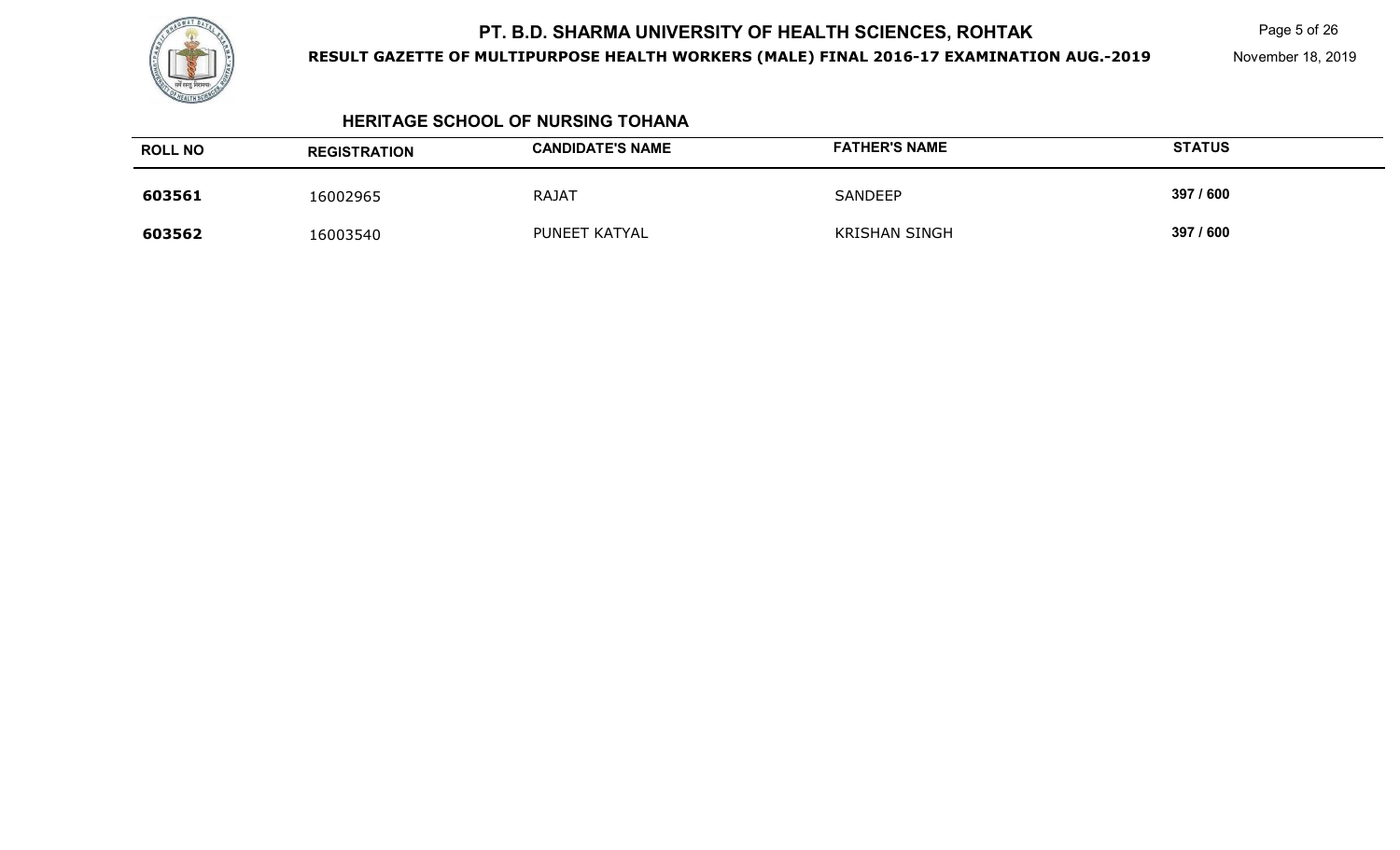

**RESULT GAZETTE OF MULTIPURPOSE HEALTH WORKERS (MALE) FINAL 2016-17 EXAMINATION AUG.-2019**

Page 5 of 26

November 18, 2019

#### **HERITAGE SCHOOL OF NURSING TOHANA**

| <b>ROLL NO</b> | <b>REGISTRATION</b> | <b>CANDIDATE'S NAME</b> | <b>FATHER'S NAME</b> | <b>STATUS</b> |
|----------------|---------------------|-------------------------|----------------------|---------------|
| 603561         | 16002965            | <b>RAJAT</b>            | SANDEEP              | 397 / 600     |
| 603562         | 16003540            | PUNEET KATYAL           | <b>KRISHAN SINGH</b> | 397 / 600     |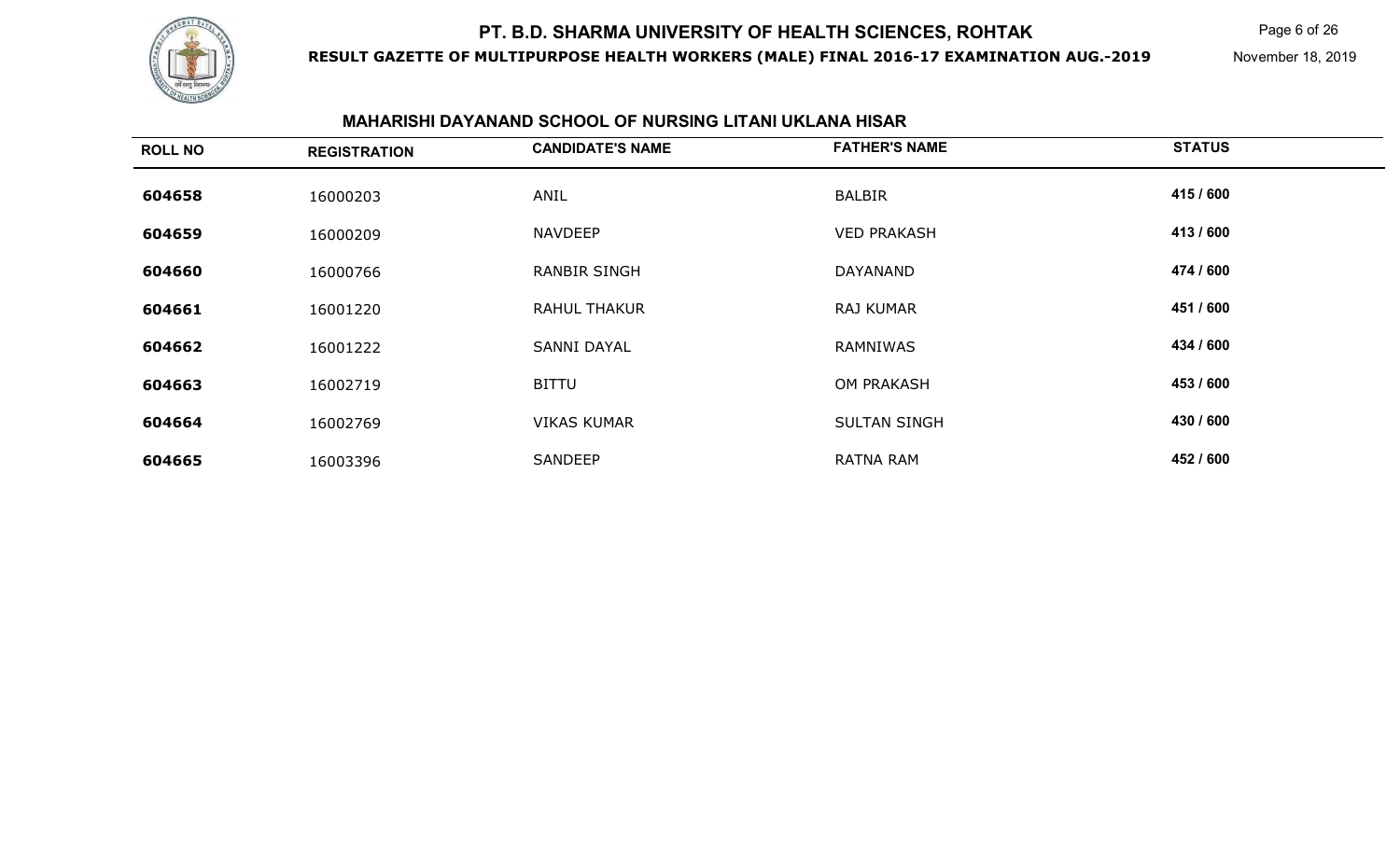

**RESULT GAZETTE OF MULTIPURPOSE HEALTH WORKERS (MALE) FINAL 2016-17 EXAMINATION AUG.-2019**

Page 6 of 26

November 18, 2019

### **MAHARISHI DAYANAND SCHOOL OF NURSING LITANI UKLANA HISAR**

| <b>ROLL NO</b> | <b>REGISTRATION</b> | <b>CANDIDATE'S NAME</b> | <b>FATHER'S NAME</b> | <b>STATUS</b> |
|----------------|---------------------|-------------------------|----------------------|---------------|
| 604658         | 16000203            | ANIL                    | <b>BALBIR</b>        | 415 / 600     |
| 604659         | 16000209            | <b>NAVDEEP</b>          | <b>VED PRAKASH</b>   | 413/600       |
| 604660         | 16000766            | <b>RANBIR SINGH</b>     | DAYANAND             | 474 / 600     |
| 604661         | 16001220            | <b>RAHUL THAKUR</b>     | <b>RAJ KUMAR</b>     | 451 / 600     |
| 604662         | 16001222            | <b>SANNI DAYAL</b>      | RAMNIWAS             | 434 / 600     |
| 604663         | 16002719            | <b>BITTU</b>            | <b>OM PRAKASH</b>    | 453 / 600     |
| 604664         | 16002769            | <b>VIKAS KUMAR</b>      | <b>SULTAN SINGH</b>  | 430 / 600     |
| 604665         | 16003396            | SANDEEP                 | <b>RATNA RAM</b>     | 452 / 600     |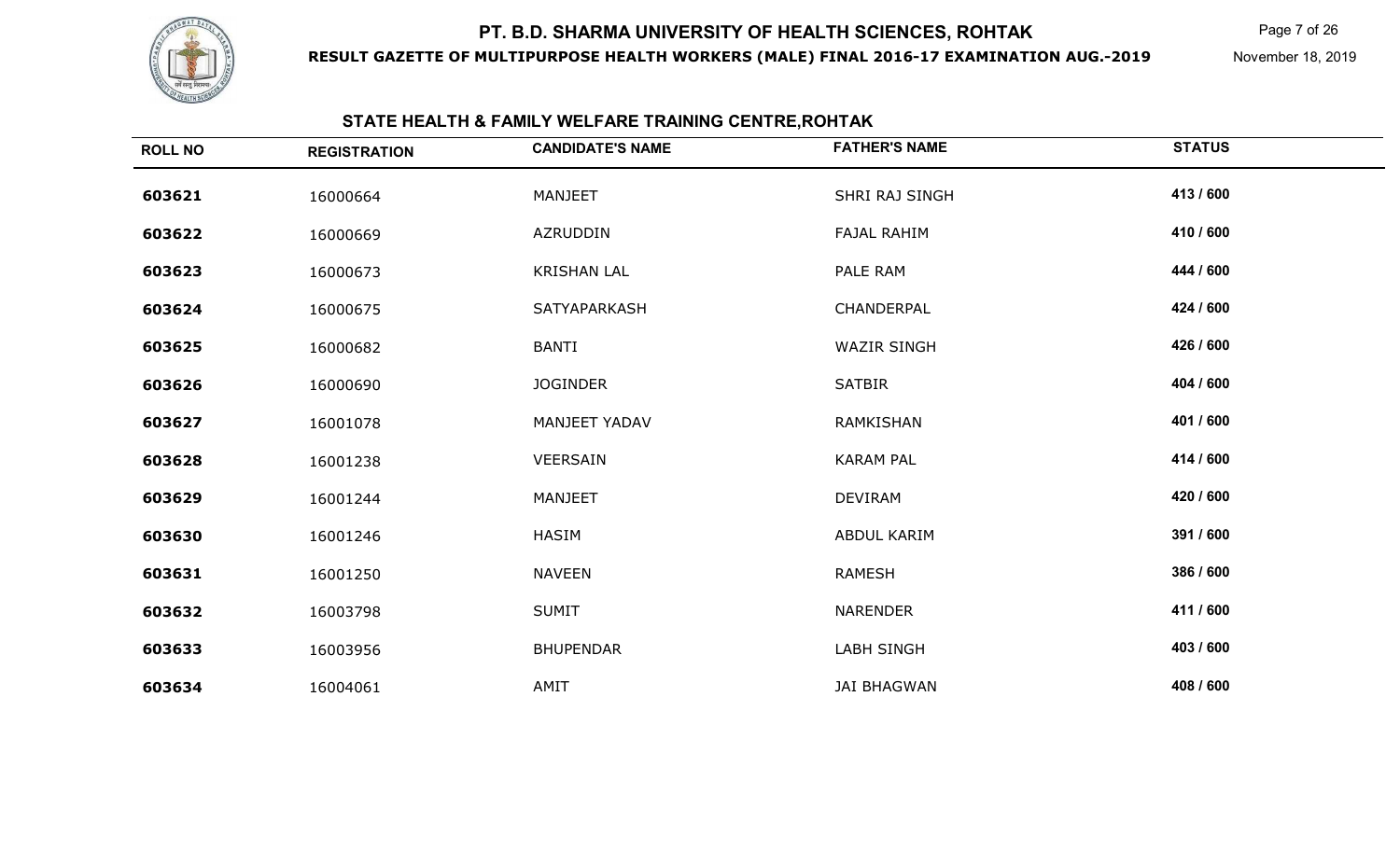

**RESULT GAZETTE OF MULTIPURPOSE HEALTH WORKERS (MALE) FINAL 2016-17 EXAMINATION AUG.-2019**

Page 7 of 26

November 18, 2019

#### **STATE HEALTH & FAMILY WELFARE TRAINING CENTRE,ROHTAK**

| <b>ROLL NO</b> | <b>REGISTRATION</b> | <b>CANDIDATE'S NAME</b> | <b>FATHER'S NAME</b> | <b>STATUS</b> |
|----------------|---------------------|-------------------------|----------------------|---------------|
| 603621         | 16000664            | MANJEET                 | SHRI RAJ SINGH       | 413 / 600     |
| 603622         | 16000669            | AZRUDDIN                | <b>FAJAL RAHIM</b>   | 410 / 600     |
| 603623         | 16000673            | <b>KRISHAN LAL</b>      | PALE RAM             | 444 / 600     |
| 603624         | 16000675            | SATYAPARKASH            | CHANDERPAL           | 424 / 600     |
| 603625         | 16000682            | <b>BANTI</b>            | <b>WAZIR SINGH</b>   | 426 / 600     |
| 603626         | 16000690            | <b>JOGINDER</b>         | <b>SATBIR</b>        | 404 / 600     |
| 603627         | 16001078            | <b>MANJEET YADAV</b>    | RAMKISHAN            | 401 / 600     |
| 603628         | 16001238            | VEERSAIN                | <b>KARAM PAL</b>     | 414 / 600     |
| 603629         | 16001244            | <b>MANJEET</b>          | <b>DEVIRAM</b>       | 420 / 600     |
| 603630         | 16001246            | <b>HASIM</b>            | ABDUL KARIM          | 391 / 600     |
| 603631         | 16001250            | <b>NAVEEN</b>           | <b>RAMESH</b>        | 386 / 600     |
| 603632         | 16003798            | <b>SUMIT</b>            | <b>NARENDER</b>      | 411 / 600     |
| 603633         | 16003956            | <b>BHUPENDAR</b>        | <b>LABH SINGH</b>    | 403 / 600     |
| 603634         | 16004061            | AMIT                    | <b>JAI BHAGWAN</b>   | 408 / 600     |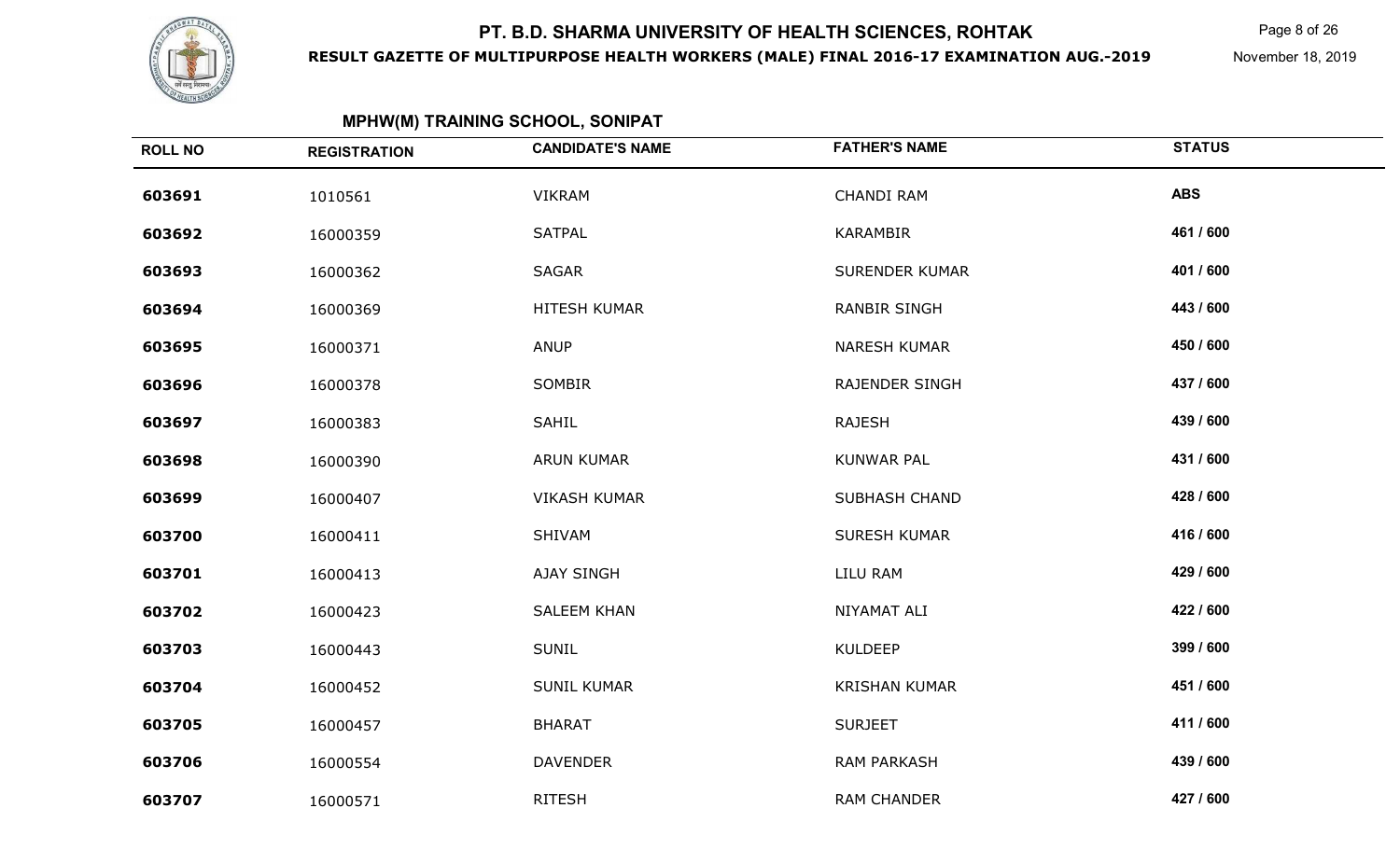

**RESULT GAZETTE OF MULTIPURPOSE HEALTH WORKERS (MALE) FINAL 2016-17 EXAMINATION AUG.-2019**

Page 8 of 26

November 18, 2019

| <b>ROLL NO</b> | <b>REGISTRATION</b> | <b>CANDIDATE'S NAME</b> | <b>FATHER'S NAME</b>  | <b>STATUS</b> |
|----------------|---------------------|-------------------------|-----------------------|---------------|
| 603691         | 1010561             | <b>VIKRAM</b>           | <b>CHANDI RAM</b>     | <b>ABS</b>    |
| 603692         | 16000359            | <b>SATPAL</b>           | KARAMBIR              | 461 / 600     |
| 603693         | 16000362            | SAGAR                   | <b>SURENDER KUMAR</b> | 401 / 600     |
| 603694         | 16000369            | HITESH KUMAR            | <b>RANBIR SINGH</b>   | 443 / 600     |
| 603695         | 16000371            | ANUP                    | <b>NARESH KUMAR</b>   | 450 / 600     |
| 603696         | 16000378            | SOMBIR                  | <b>RAJENDER SINGH</b> | 437 / 600     |
| 603697         | 16000383            | SAHIL                   | <b>RAJESH</b>         | 439 / 600     |
| 603698         | 16000390            | <b>ARUN KUMAR</b>       | <b>KUNWAR PAL</b>     | 431 / 600     |
| 603699         | 16000407            | <b>VIKASH KUMAR</b>     | <b>SUBHASH CHAND</b>  | 428 / 600     |
| 603700         | 16000411            | SHIVAM                  | <b>SURESH KUMAR</b>   | 416 / 600     |
| 603701         | 16000413            | AJAY SINGH              | LILU RAM              | 429 / 600     |
| 603702         | 16000423            | <b>SALEEM KHAN</b>      | NIYAMAT ALI           | 422 / 600     |
| 603703         | 16000443            | <b>SUNIL</b>            | <b>KULDEEP</b>        | 399 / 600     |
| 603704         | 16000452            | <b>SUNIL KUMAR</b>      | <b>KRISHAN KUMAR</b>  | 451 / 600     |
| 603705         | 16000457            | <b>BHARAT</b>           | <b>SURJEET</b>        | 411 / 600     |
| 603706         | 16000554            | <b>DAVENDER</b>         | <b>RAM PARKASH</b>    | 439 / 600     |
| 603707         | 16000571            | <b>RITESH</b>           | <b>RAM CHANDER</b>    | 427 / 600     |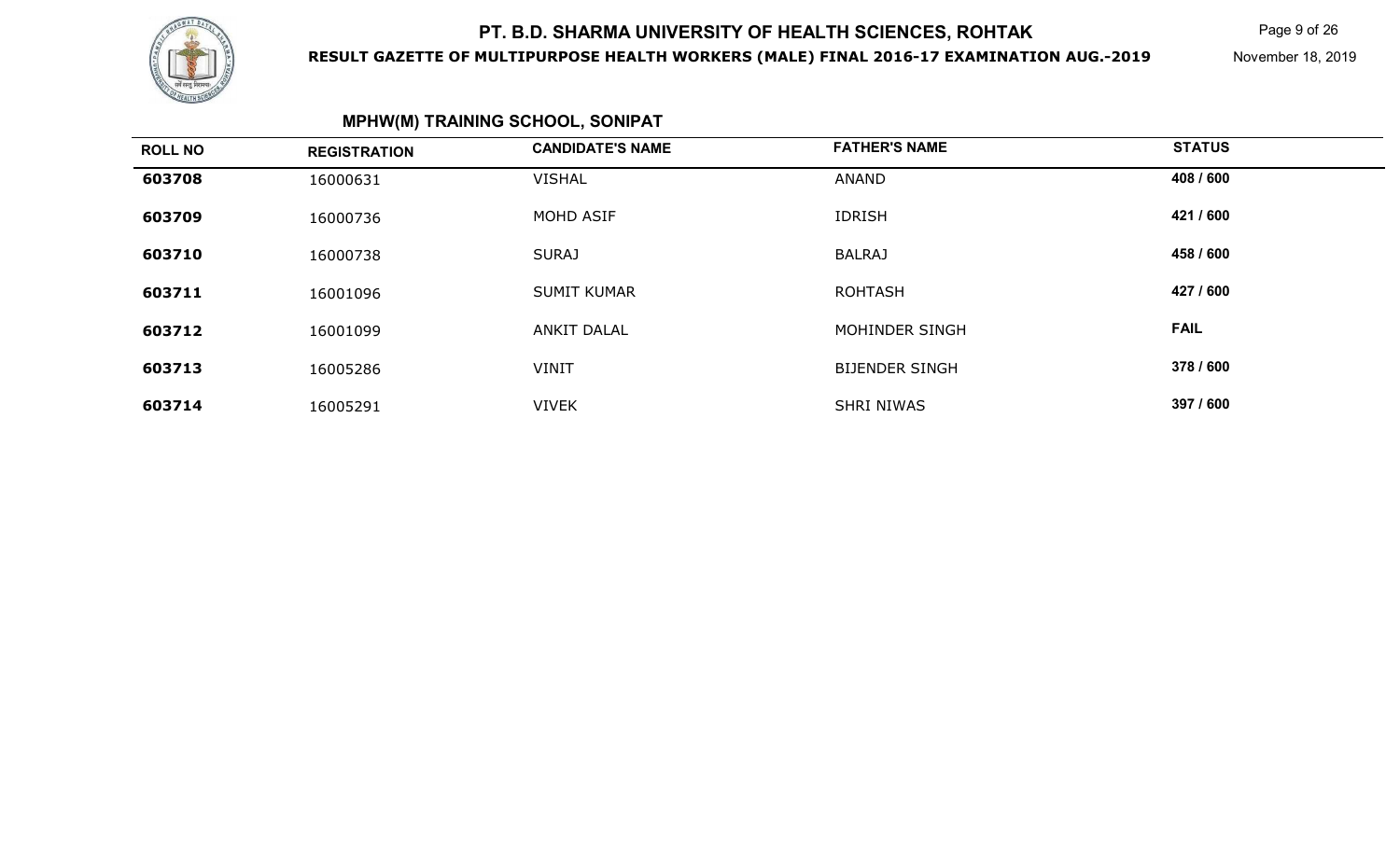

### **RESULT GAZETTE OF MULTIPURPOSE HEALTH WORKERS (MALE) FINAL 2016-17 EXAMINATION AUG.-2019**

Page 9 of 26

November 18, 2019

## **MPHW(M) TRAINING SCHOOL, SONIPAT**

| <b>ROLL NO</b> | <b>REGISTRATION</b> | <b>CANDIDATE'S NAME</b> | <b>FATHER'S NAME</b>  | <b>STATUS</b> |
|----------------|---------------------|-------------------------|-----------------------|---------------|
| 603708         | 16000631            | <b>VISHAL</b>           | <b>ANAND</b>          | 408 / 600     |
| 603709         | 16000736            | MOHD ASIF               | <b>IDRISH</b>         | 421 / 600     |
| 603710         | 16000738            | <b>SURAJ</b>            | <b>BALRAJ</b>         | 458 / 600     |
| 603711         | 16001096            | <b>SUMIT KUMAR</b>      | <b>ROHTASH</b>        | 427 / 600     |
| 603712         | 16001099            | ANKIT DALAL             | MOHINDER SINGH        | <b>FAIL</b>   |
| 603713         | 16005286            | <b>VINIT</b>            | <b>BIJENDER SINGH</b> | 378 / 600     |
| 603714         | 16005291            | <b>VIVEK</b>            | <b>SHRI NIWAS</b>     | 397 / 600     |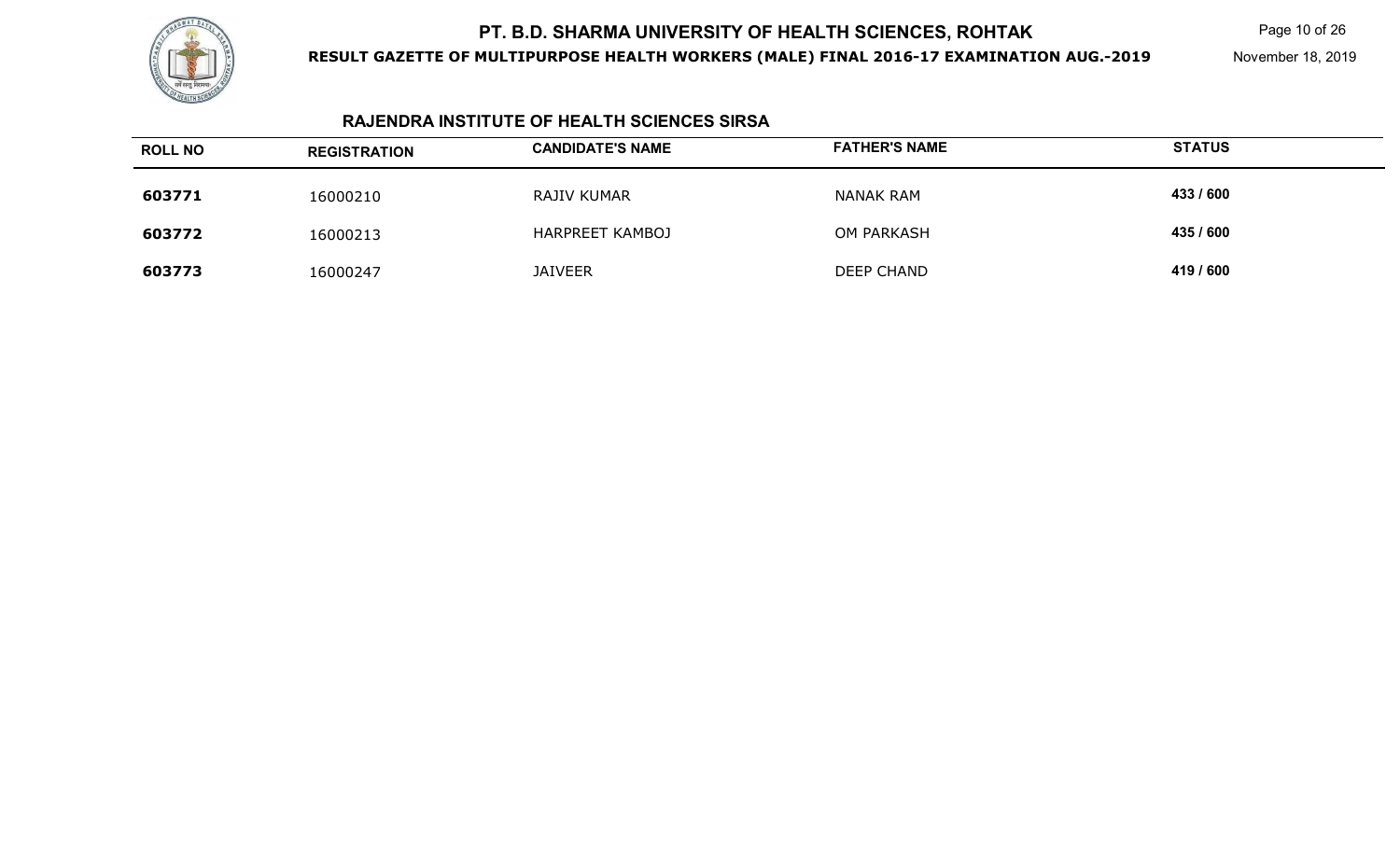

**RESULT GAZETTE OF MULTIPURPOSE HEALTH WORKERS (MALE) FINAL 2016-17 EXAMINATION AUG.-2019**

Page 10 of 26

November 18, 2019

### **RAJENDRA INSTITUTE OF HEALTH SCIENCES SIRSA**

| <b>ROLL NO</b> | <b>REGISTRATION</b> | <b>CANDIDATE'S NAME</b> | <b>FATHER'S NAME</b> | <b>STATUS</b> |
|----------------|---------------------|-------------------------|----------------------|---------------|
| 603771         | 16000210            | RAJIV KUMAR             | <b>NANAK RAM</b>     | 433 / 600     |
| 603772         | 16000213            | <b>HARPREET KAMBOJ</b>  | OM PARKASH           | 435 / 600     |
| 603773         | 16000247            | <b>JAIVEER</b>          | <b>DEEP CHAND</b>    | 419 / 600     |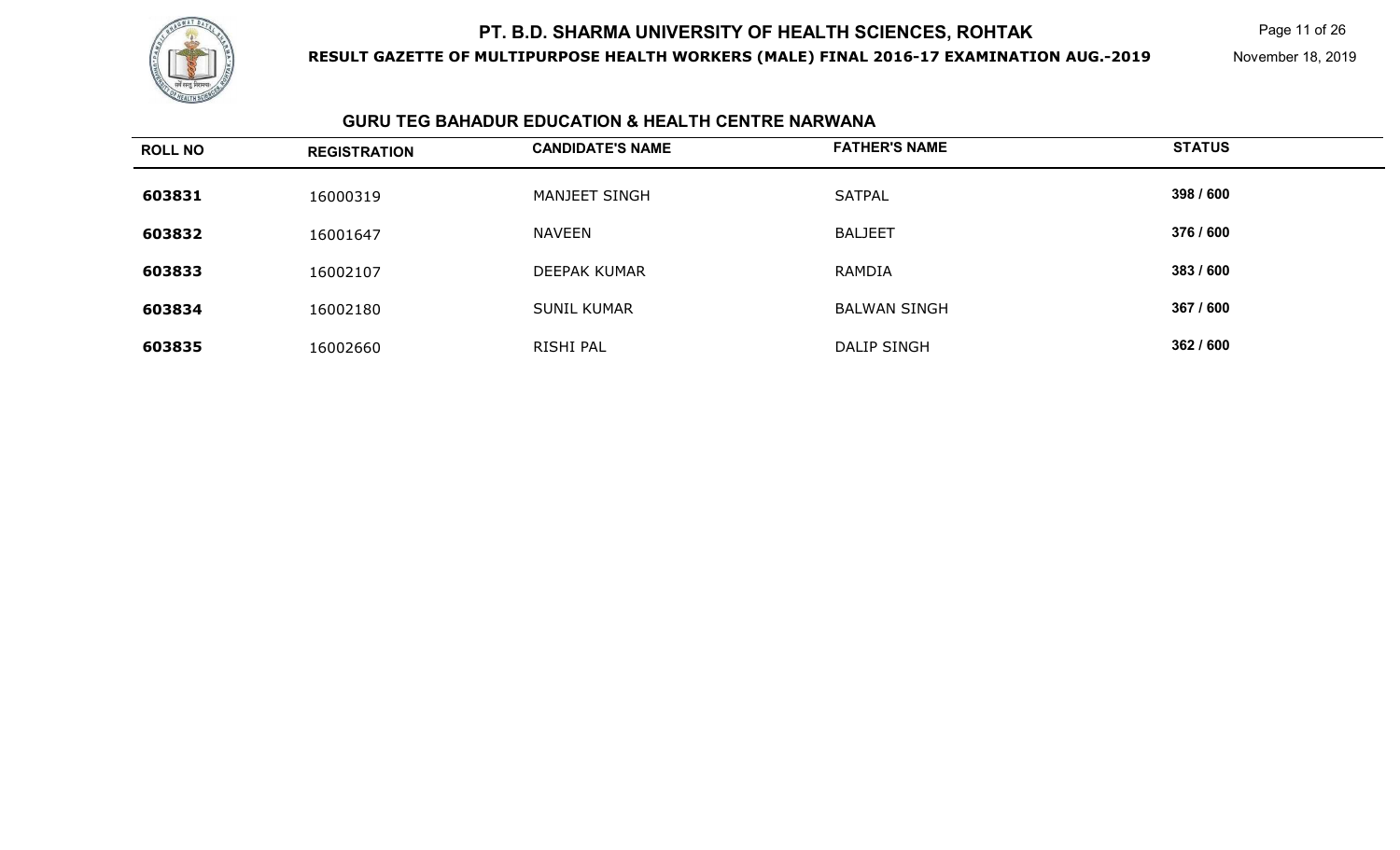

**RESULT GAZETTE OF MULTIPURPOSE HEALTH WORKERS (MALE) FINAL 2016-17 EXAMINATION AUG.-2019**

Page 11 of 26

November 18, 2019

### **GURU TEG BAHADUR EDUCATION & HEALTH CENTRE NARWANA**

| <b>ROLL NO</b> | <b>REGISTRATION</b> | <b>CANDIDATE'S NAME</b> | <b>FATHER'S NAME</b> | <b>STATUS</b> |
|----------------|---------------------|-------------------------|----------------------|---------------|
| 603831         | 16000319            | MANJEET SINGH           | <b>SATPAL</b>        | 398 / 600     |
| 603832         | 16001647            | <b>NAVEEN</b>           | <b>BALJEET</b>       | 376 / 600     |
| 603833         | 16002107            | DEEPAK KUMAR            | RAMDIA               | 383 / 600     |
| 603834         | 16002180            | <b>SUNIL KUMAR</b>      | <b>BALWAN SINGH</b>  | 367 / 600     |
| 603835         | 16002660            | RISHI PAL               | DALIP SINGH          | 362 / 600     |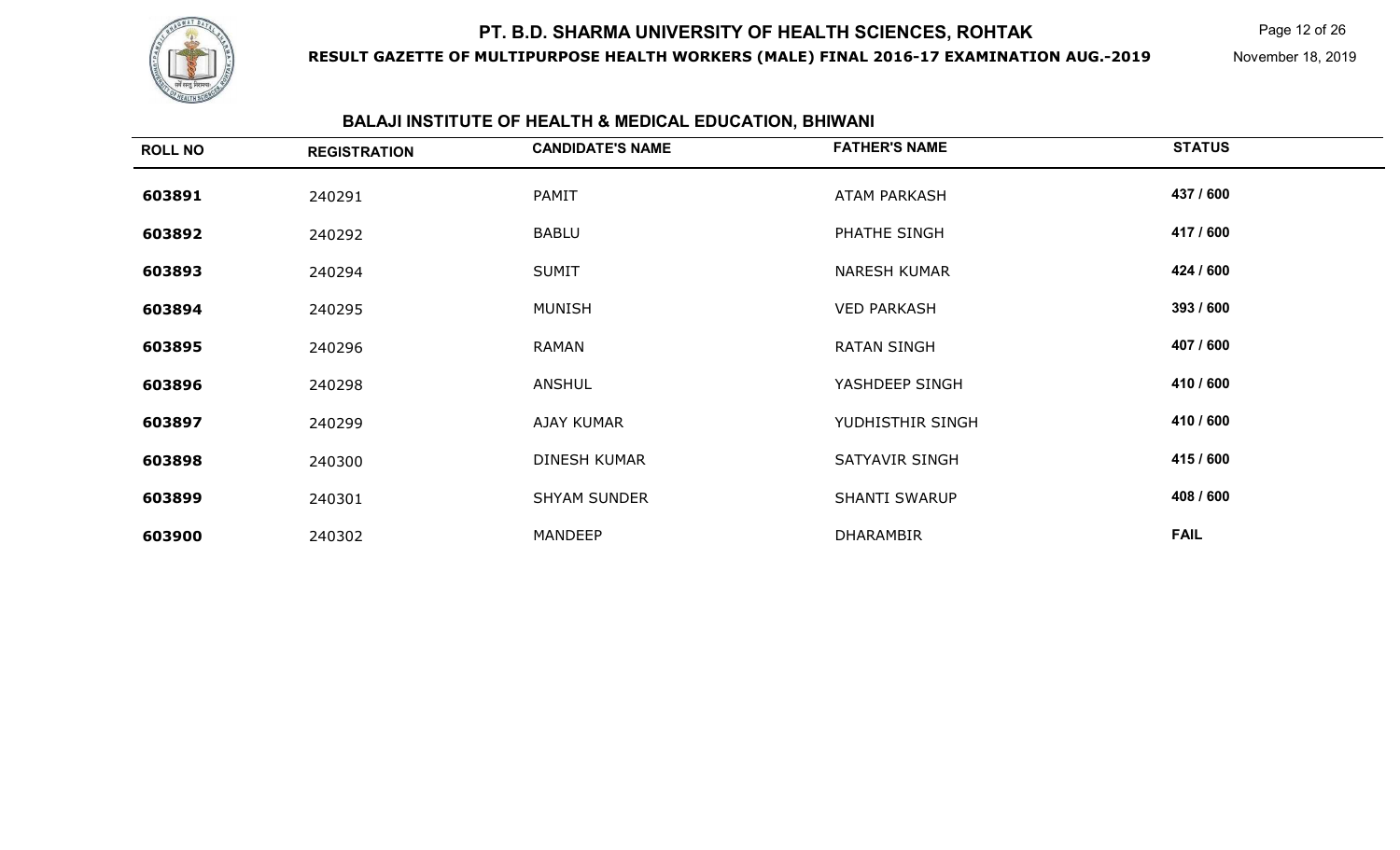

**RESULT GAZETTE OF MULTIPURPOSE HEALTH WORKERS (MALE) FINAL 2016-17 EXAMINATION AUG.-2019**

Page 12 of 26

November 18, 2019

#### **BALAJI INSTITUTE OF HEALTH & MEDICAL EDUCATION, BHIWANI**

| <b>ROLL NO</b> | <b>REGISTRATION</b> | <b>CANDIDATE'S NAME</b> | <b>FATHER'S NAME</b> | <b>STATUS</b> |
|----------------|---------------------|-------------------------|----------------------|---------------|
| 603891         | 240291              | PAMIT                   | <b>ATAM PARKASH</b>  | 437 / 600     |
| 603892         | 240292              | <b>BABLU</b>            | PHATHE SINGH         | 417 / 600     |
| 603893         | 240294              | <b>SUMIT</b>            | <b>NARESH KUMAR</b>  | 424 / 600     |
| 603894         | 240295              | <b>MUNISH</b>           | <b>VED PARKASH</b>   | 393 / 600     |
| 603895         | 240296              | <b>RAMAN</b>            | <b>RATAN SINGH</b>   | 407 / 600     |
| 603896         | 240298              | <b>ANSHUL</b>           | YASHDEEP SINGH       | 410 / 600     |
| 603897         | 240299              | AJAY KUMAR              | YUDHISTHIR SINGH     | 410 / 600     |
| 603898         | 240300              | <b>DINESH KUMAR</b>     | SATYAVIR SINGH       | 415 / 600     |
| 603899         | 240301              | <b>SHYAM SUNDER</b>     | <b>SHANTI SWARUP</b> | 408 / 600     |
| 603900         | 240302              | <b>MANDEEP</b>          | <b>DHARAMBIR</b>     | <b>FAIL</b>   |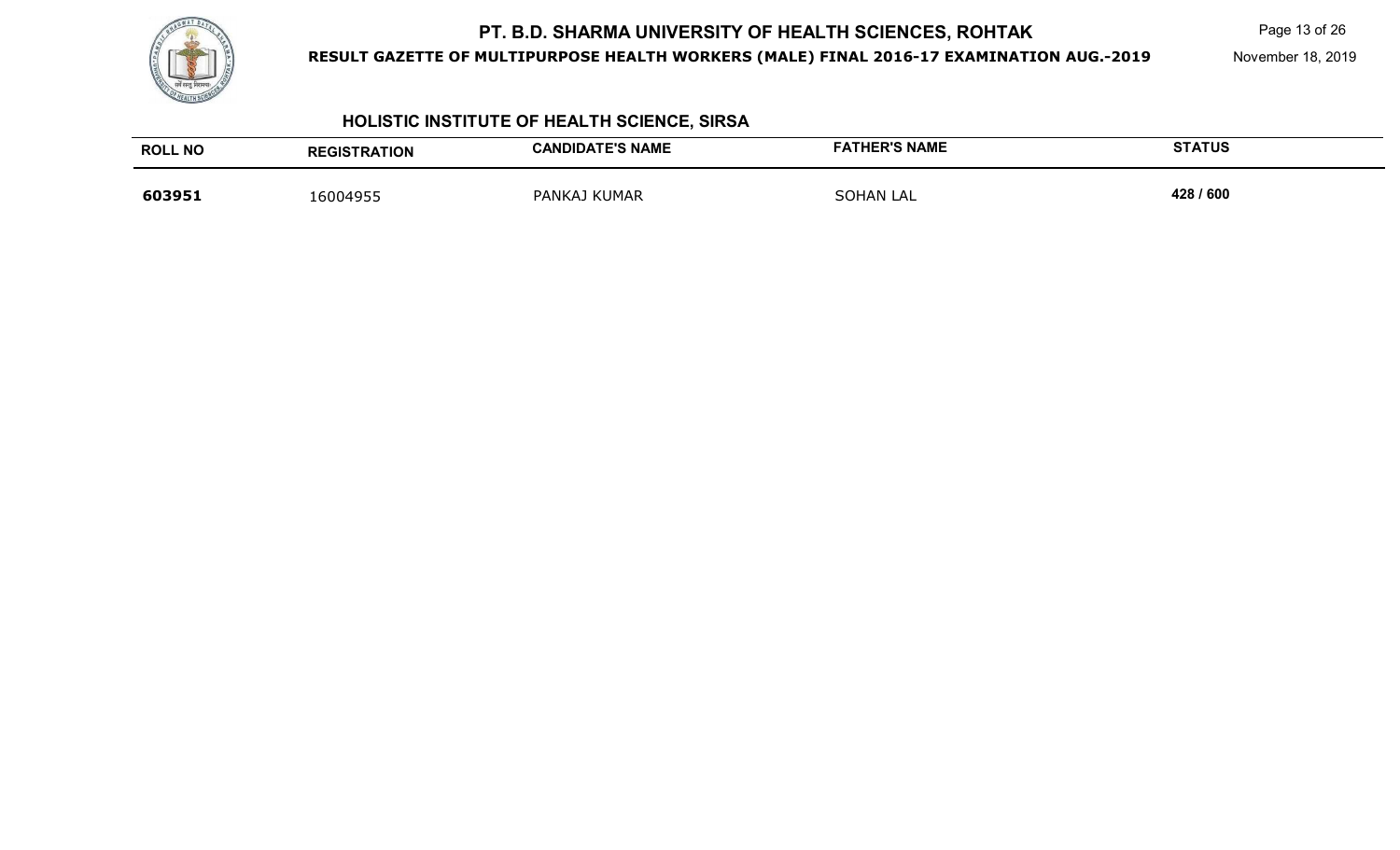

**RESULT GAZETTE OF MULTIPURPOSE HEALTH WORKERS (MALE) FINAL 2016-17 EXAMINATION AUG.-2019**

Page 13 of 26

November 18, 2019

## **HOLISTIC INSTITUTE OF HEALTH SCIENCE, SIRSA**

| <b>ROLL NO</b> | <b>REGISTRATION</b> | <b>CANDIDATE'S NAME</b> | <b>FATHER'S NAME</b> | <b>STATUS</b> |
|----------------|---------------------|-------------------------|----------------------|---------------|
| 603951         | 16004955            | PANKAJ KUMAR            | <b>SOHAN LAL</b>     | 428 / 600     |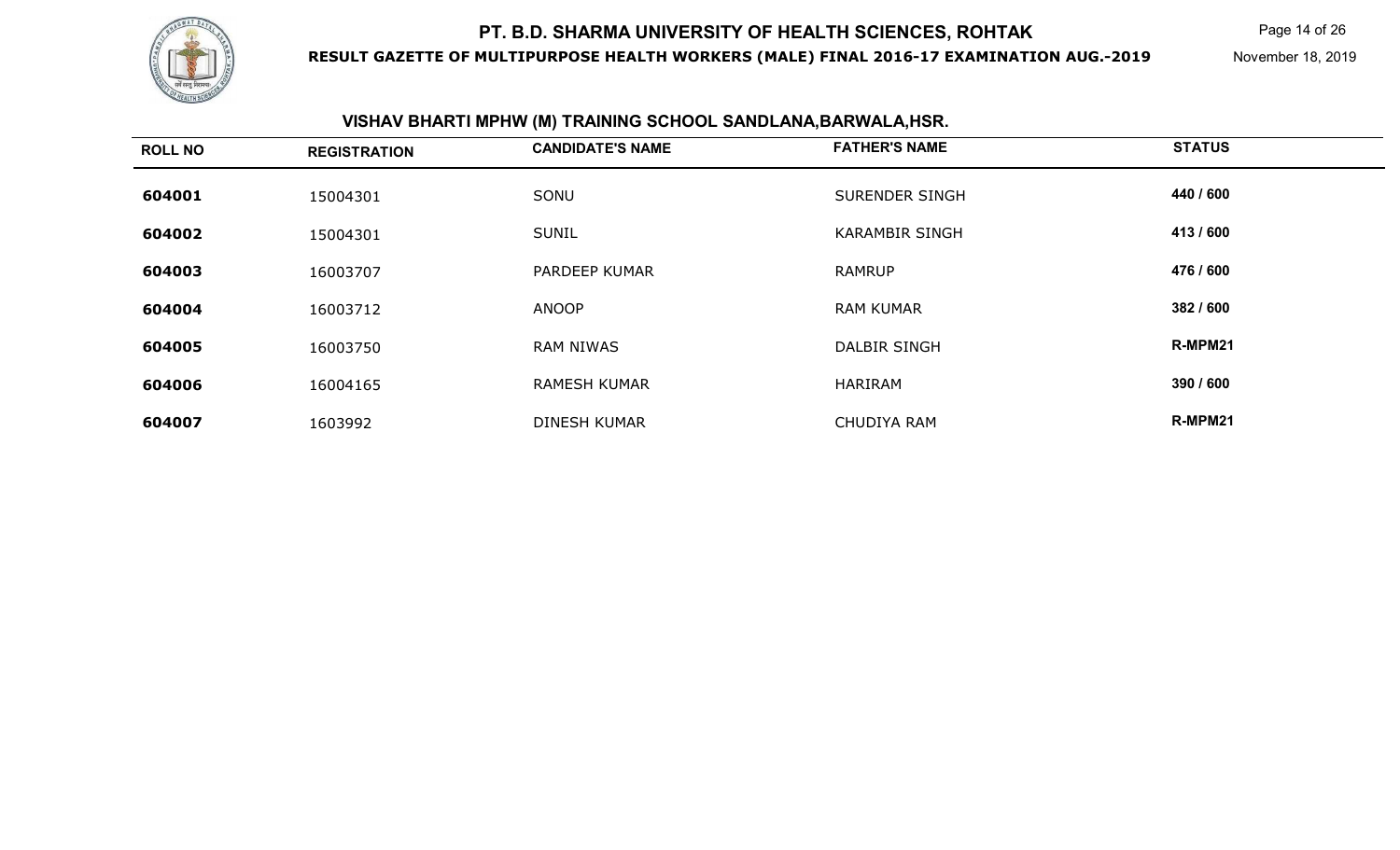

**RESULT GAZETTE OF MULTIPURPOSE HEALTH WORKERS (MALE) FINAL 2016-17 EXAMINATION AUG.-2019**

Page 14 of 26

November 18, 2019

#### **VISHAV BHARTI MPHW (M) TRAINING SCHOOL SANDLANA,BARWALA,HSR.**

| <b>ROLL NO</b> | <b>REGISTRATION</b> | <b>CANDIDATE'S NAME</b> | <b>FATHER'S NAME</b>  | <b>STATUS</b> |
|----------------|---------------------|-------------------------|-----------------------|---------------|
| 604001         | 15004301            | SONU                    | <b>SURENDER SINGH</b> | 440 / 600     |
| 604002         | 15004301            | <b>SUNIL</b>            | <b>KARAMBIR SINGH</b> | 413/600       |
| 604003         | 16003707            | PARDEEP KUMAR           | <b>RAMRUP</b>         | 476 / 600     |
| 604004         | 16003712            | <b>ANOOP</b>            | <b>RAM KUMAR</b>      | 382 / 600     |
| 604005         | 16003750            | <b>RAM NIWAS</b>        | <b>DALBIR SINGH</b>   | R-MPM21       |
| 604006         | 16004165            | <b>RAMESH KUMAR</b>     | HARIRAM               | 390 / 600     |
| 604007         | 1603992             | <b>DINESH KUMAR</b>     | <b>CHUDIYA RAM</b>    | R-MPM21       |
|                |                     |                         |                       |               |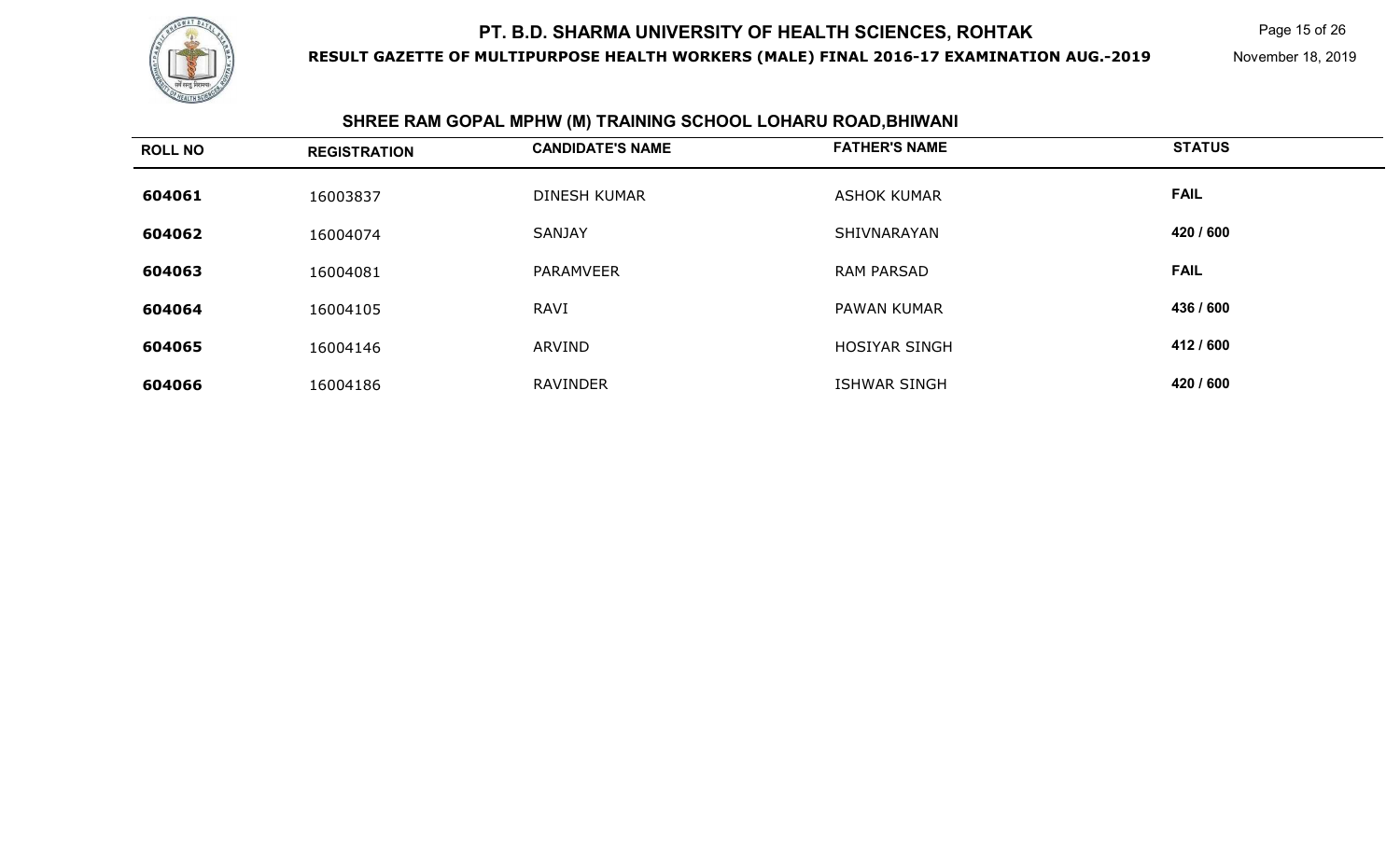

**RESULT GAZETTE OF MULTIPURPOSE HEALTH WORKERS (MALE) FINAL 2016-17 EXAMINATION AUG.-2019**

Page 15 of 26

November 18, 2019

#### **SHREE RAM GOPAL MPHW (M) TRAINING SCHOOL LOHARU ROAD,BHIWANI**

| <b>ROLL NO</b> | <b>REGISTRATION</b> | <b>CANDIDATE'S NAME</b> | <b>FATHER'S NAME</b> | <b>STATUS</b> |
|----------------|---------------------|-------------------------|----------------------|---------------|
| 604061         | 16003837            | <b>DINESH KUMAR</b>     | <b>ASHOK KUMAR</b>   | <b>FAIL</b>   |
| 604062         | 16004074            | <b>SANJAY</b>           | SHIVNARAYAN          | 420 / 600     |
| 604063         | 16004081            | <b>PARAMVEER</b>        | <b>RAM PARSAD</b>    | <b>FAIL</b>   |
| 604064         | 16004105            | <b>RAVI</b>             | <b>PAWAN KUMAR</b>   | 436 / 600     |
| 604065         | 16004146            | ARVIND                  | <b>HOSIYAR SINGH</b> | 412 / 600     |
| 604066         | 16004186            | <b>RAVINDER</b>         | <b>ISHWAR SINGH</b>  | 420 / 600     |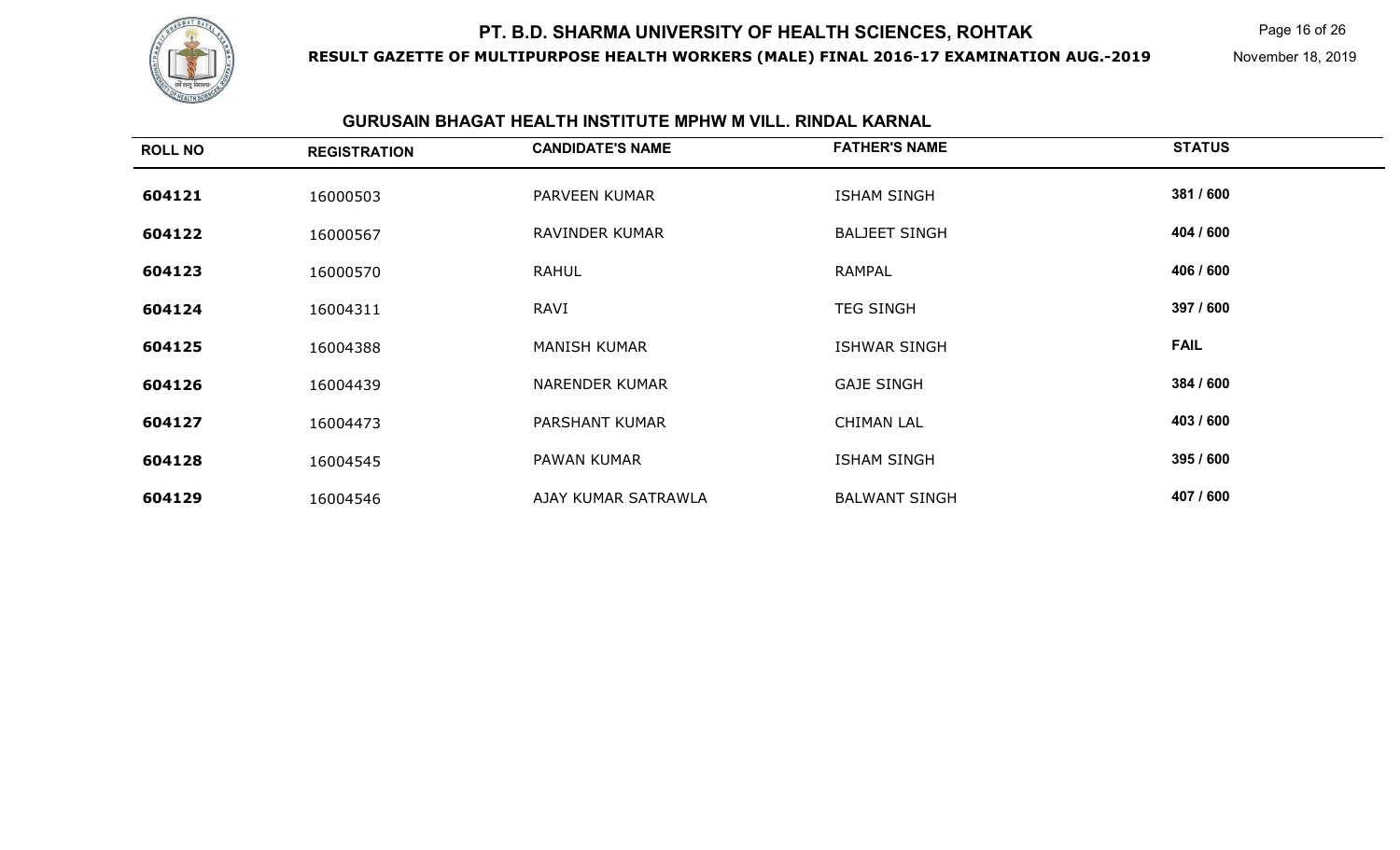

**RESULT GAZETTE OF MULTIPURPOSE HEALTH WORKERS (MALE) FINAL 2016-17 EXAMINATION AUG.-2019**

Page 16 of 26

November 18, 2019

### **GURUSAIN BHAGAT HEALTH INSTITUTE MPHW M VILL. RINDAL KARNAL**

| <b>ROLL NO</b> | <b>REGISTRATION</b> | <b>CANDIDATE'S NAME</b> | <b>FATHER'S NAME</b> | <b>STATUS</b> |
|----------------|---------------------|-------------------------|----------------------|---------------|
| 604121         | 16000503            | PARVEEN KUMAR           | <b>ISHAM SINGH</b>   | 381 / 600     |
| 604122         | 16000567            | RAVINDER KUMAR          | <b>BALJEET SINGH</b> | 404 / 600     |
| 604123         | 16000570            | <b>RAHUL</b>            | <b>RAMPAL</b>        | 406 / 600     |
| 604124         | 16004311            | RAVI                    | <b>TEG SINGH</b>     | 397 / 600     |
| 604125         | 16004388            | <b>MANISH KUMAR</b>     | <b>ISHWAR SINGH</b>  | <b>FAIL</b>   |
| 604126         | 16004439            | <b>NARENDER KUMAR</b>   | <b>GAJE SINGH</b>    | 384 / 600     |
| 604127         | 16004473            | <b>PARSHANT KUMAR</b>   | <b>CHIMAN LAL</b>    | 403 / 600     |
| 604128         | 16004545            | PAWAN KUMAR             | <b>ISHAM SINGH</b>   | 395 / 600     |
| 604129         | 16004546            | AJAY KUMAR SATRAWLA     | <b>BALWANT SINGH</b> | 407 / 600     |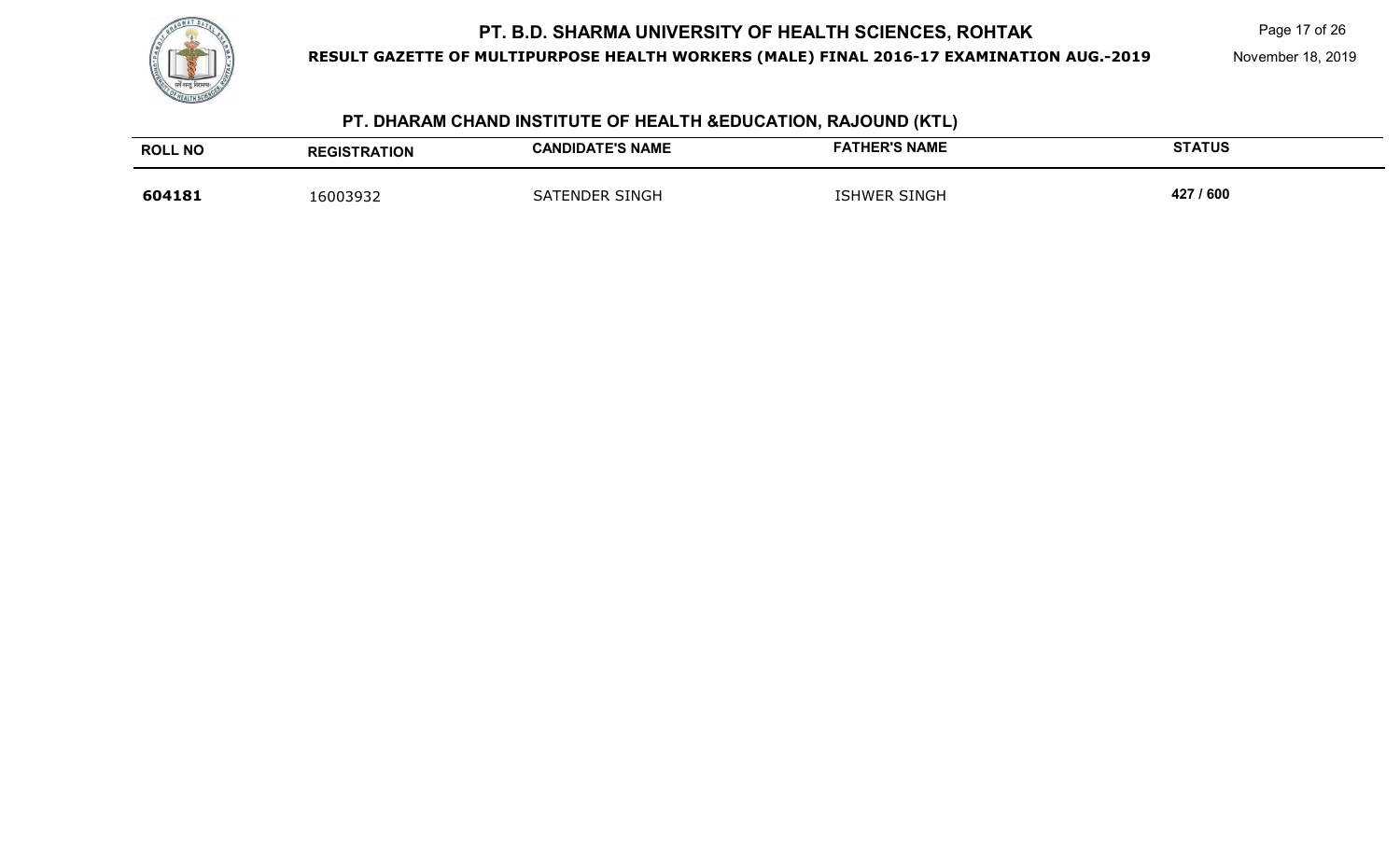

**RESULT GAZETTE OF MULTIPURPOSE HEALTH WORKERS (MALE) FINAL 2016-17 EXAMINATION AUG.-2019**

## **PT. DHARAM CHAND INSTITUTE OF HEALTH &EDUCATION, RAJOUND (KTL)**

| <b>ROLL NO</b> | <b>REGISTRATION</b> | <b>CANDIDATE'S NAME</b> | <b>FATHER'S NAME</b> | <b>STATUS</b> |
|----------------|---------------------|-------------------------|----------------------|---------------|
| 604181         | 6003932             | SATENDER SINGH          | <b>ISHWER SINGH</b>  | 427 / 600     |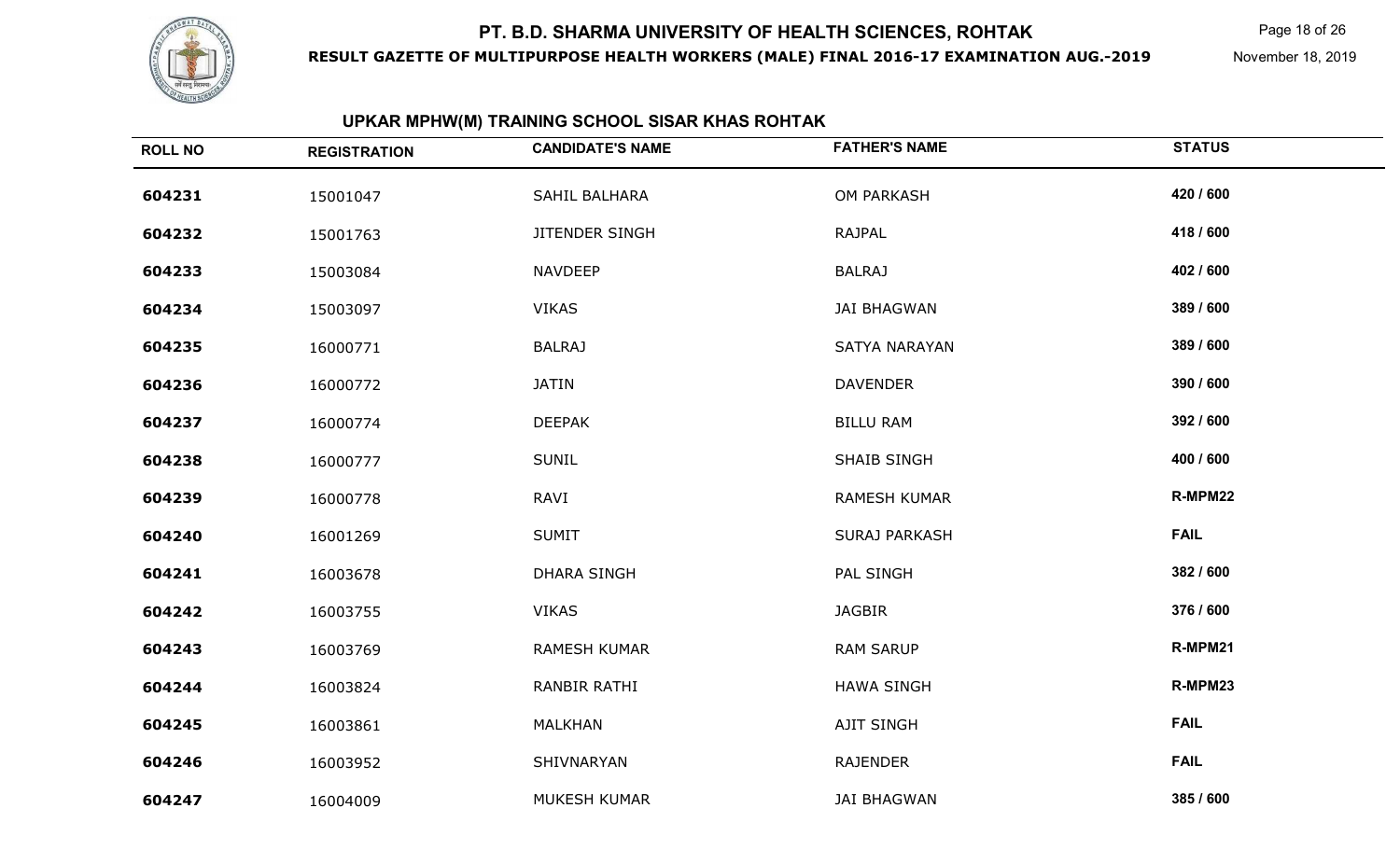

**RESULT GAZETTE OF MULTIPURPOSE HEALTH WORKERS (MALE) FINAL 2016-17 EXAMINATION AUG.-2019**

Page 18 of 26

November 18, 2019

## **UPKAR MPHW(M) TRAINING SCHOOL SISAR KHAS ROHTAK**

| <b>ROLL NO</b> | <b>REGISTRATION</b> | <b>CANDIDATE'S NAME</b> | <b>FATHER'S NAME</b> | <b>STATUS</b> |
|----------------|---------------------|-------------------------|----------------------|---------------|
| 604231         | 15001047            | SAHIL BALHARA           | OM PARKASH           | 420 / 600     |
| 604232         | 15001763            | JITENDER SINGH          | RAJPAL               | 418 / 600     |
| 604233         | 15003084            | <b>NAVDEEP</b>          | <b>BALRAJ</b>        | 402 / 600     |
| 604234         | 15003097            | <b>VIKAS</b>            | <b>JAI BHAGWAN</b>   | 389 / 600     |
| 604235         | 16000771            | <b>BALRAJ</b>           | SATYA NARAYAN        | 389 / 600     |
| 604236         | 16000772            | <b>JATIN</b>            | <b>DAVENDER</b>      | 390 / 600     |
| 604237         | 16000774            | <b>DEEPAK</b>           | <b>BILLU RAM</b>     | 392 / 600     |
| 604238         | 16000777            | <b>SUNIL</b>            | <b>SHAIB SINGH</b>   | 400 / 600     |
| 604239         | 16000778            | RAVI                    | RAMESH KUMAR         | R-MPM22       |
| 604240         | 16001269            | <b>SUMIT</b>            | <b>SURAJ PARKASH</b> | <b>FAIL</b>   |
| 604241         | 16003678            | <b>DHARA SINGH</b>      | PAL SINGH            | 382 / 600     |
| 604242         | 16003755            | <b>VIKAS</b>            | <b>JAGBIR</b>        | 376 / 600     |
| 604243         | 16003769            | <b>RAMESH KUMAR</b>     | <b>RAM SARUP</b>     | R-MPM21       |
| 604244         | 16003824            | RANBIR RATHI            | <b>HAWA SINGH</b>    | R-MPM23       |
| 604245         | 16003861            | MALKHAN                 | AJIT SINGH           | <b>FAIL</b>   |
| 604246         | 16003952            | SHIVNARYAN              | <b>RAJENDER</b>      | <b>FAIL</b>   |
| 604247         | 16004009            | MUKESH KUMAR            | <b>JAI BHAGWAN</b>   | 385 / 600     |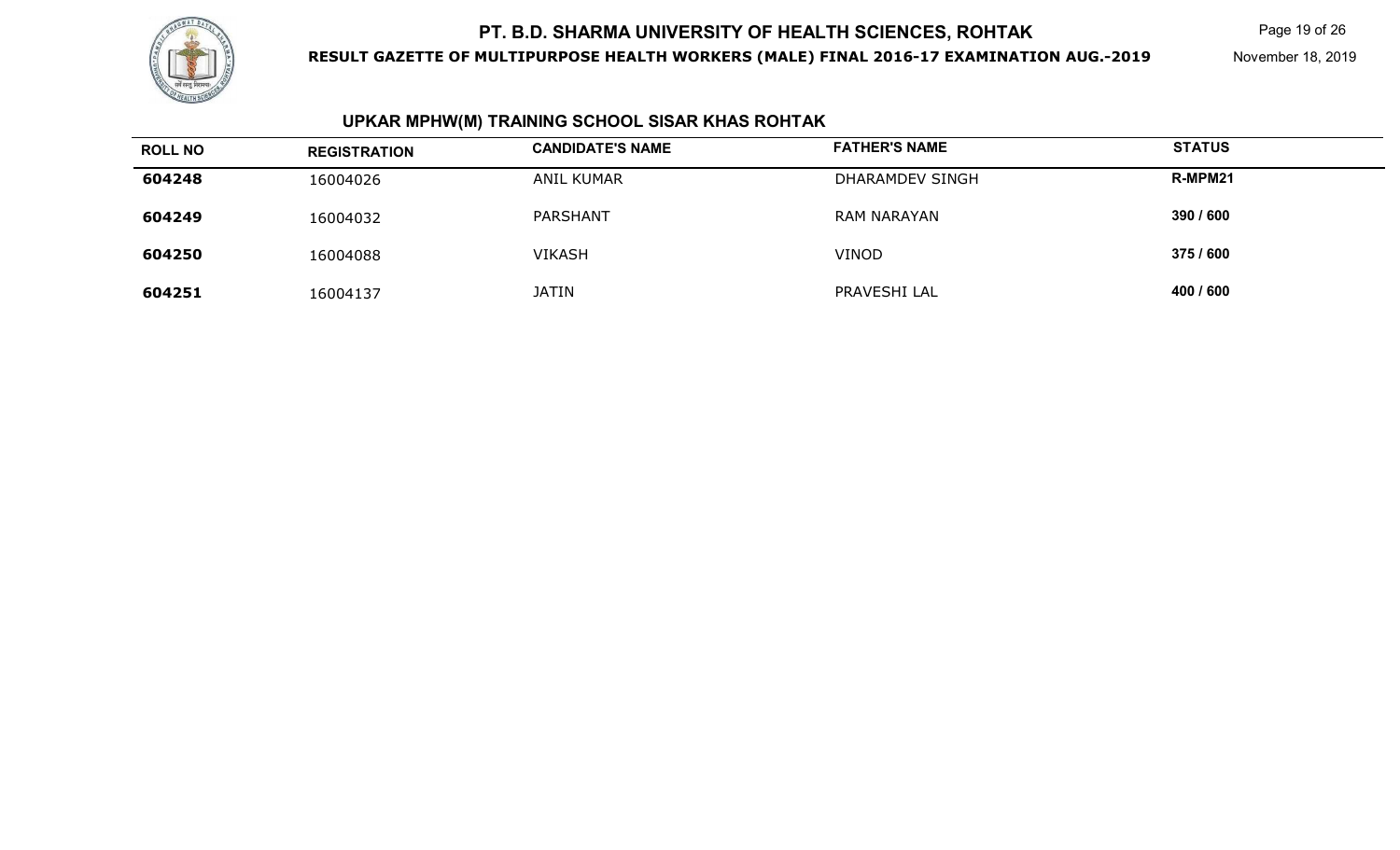

**RESULT GAZETTE OF MULTIPURPOSE HEALTH WORKERS (MALE) FINAL 2016-17 EXAMINATION AUG.-2019**

Page 19 of 26

November 18, 2019

## **UPKAR MPHW(M) TRAINING SCHOOL SISAR KHAS ROHTAK**

| <b>ROLL NO</b> | <b>REGISTRATION</b> | <b>CANDIDATE'S NAME</b> | <b>FATHER'S NAME</b> | <b>STATUS</b> |
|----------------|---------------------|-------------------------|----------------------|---------------|
| 604248         | 16004026            | ANIL KUMAR              | DHARAMDEV SINGH      | R-MPM21       |
| 604249         | 16004032            | PARSHANT                | <b>RAM NARAYAN</b>   | 390 / 600     |
| 604250         | 16004088            | <b>VIKASH</b>           | <b>VINOD</b>         | 375 / 600     |
| 604251         | 16004137            | <b>JATIN</b>            | PRAVESHI LAL         | 400 / 600     |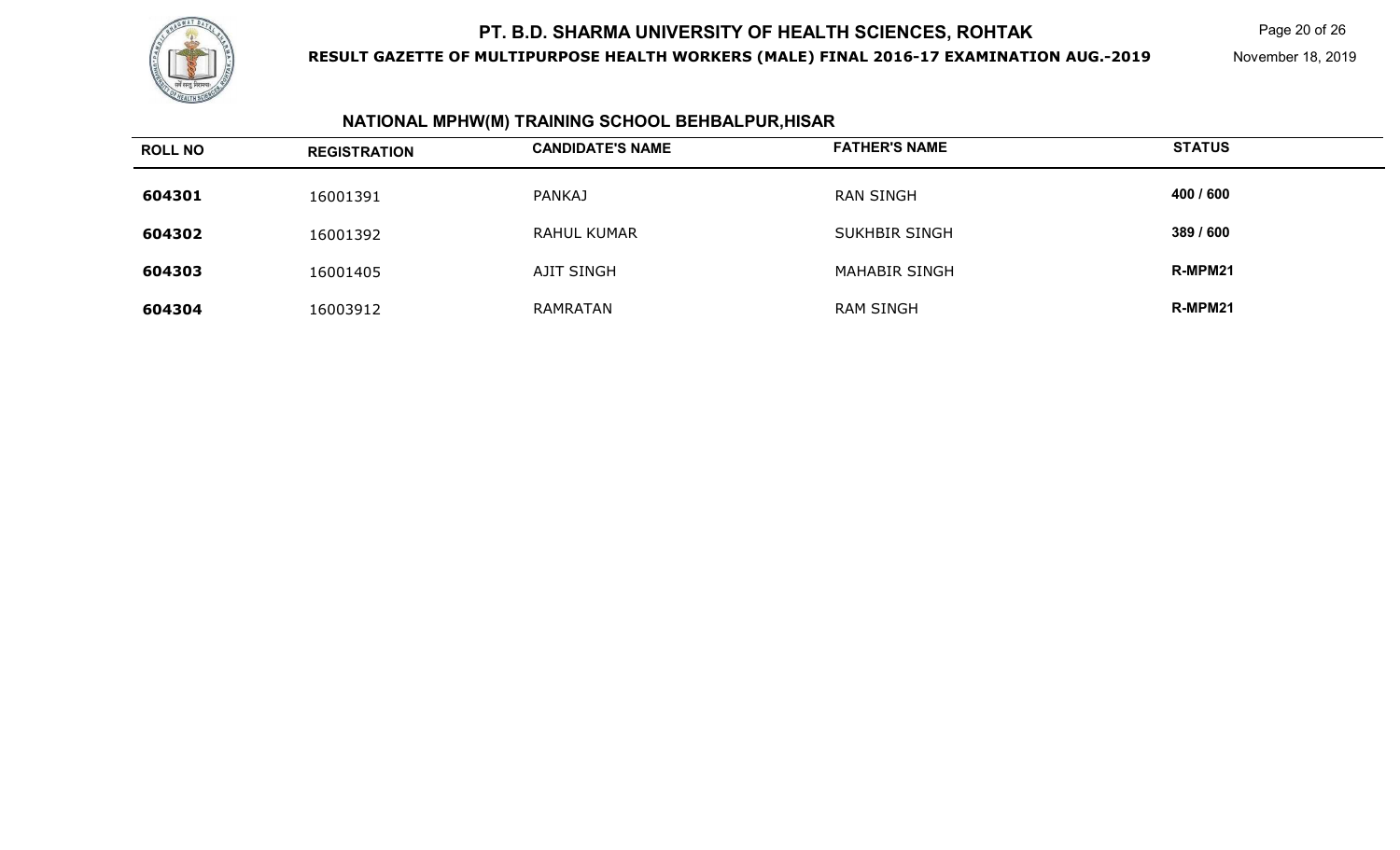

**RESULT GAZETTE OF MULTIPURPOSE HEALTH WORKERS (MALE) FINAL 2016-17 EXAMINATION AUG.-2019**

Page 20 of 26

November 18, 2019

## **NATIONAL MPHW(M) TRAINING SCHOOL BEHBALPUR,HISAR**

| <b>ROLL NO</b> | <b>REGISTRATION</b> | <b>CANDIDATE'S NAME</b> | <b>FATHER'S NAME</b> | <b>STATUS</b> |
|----------------|---------------------|-------------------------|----------------------|---------------|
| 604301         | 16001391            | <b>PANKAJ</b>           | <b>RAN SINGH</b>     | 400 / 600     |
| 604302         | 16001392            | <b>RAHUL KUMAR</b>      | <b>SUKHBIR SINGH</b> | 389 / 600     |
| 604303         | 16001405            | AJIT SINGH              | <b>MAHABIR SINGH</b> | R-MPM21       |
| 604304         | 16003912            | RAMRATAN                | <b>RAM SINGH</b>     | R-MPM21       |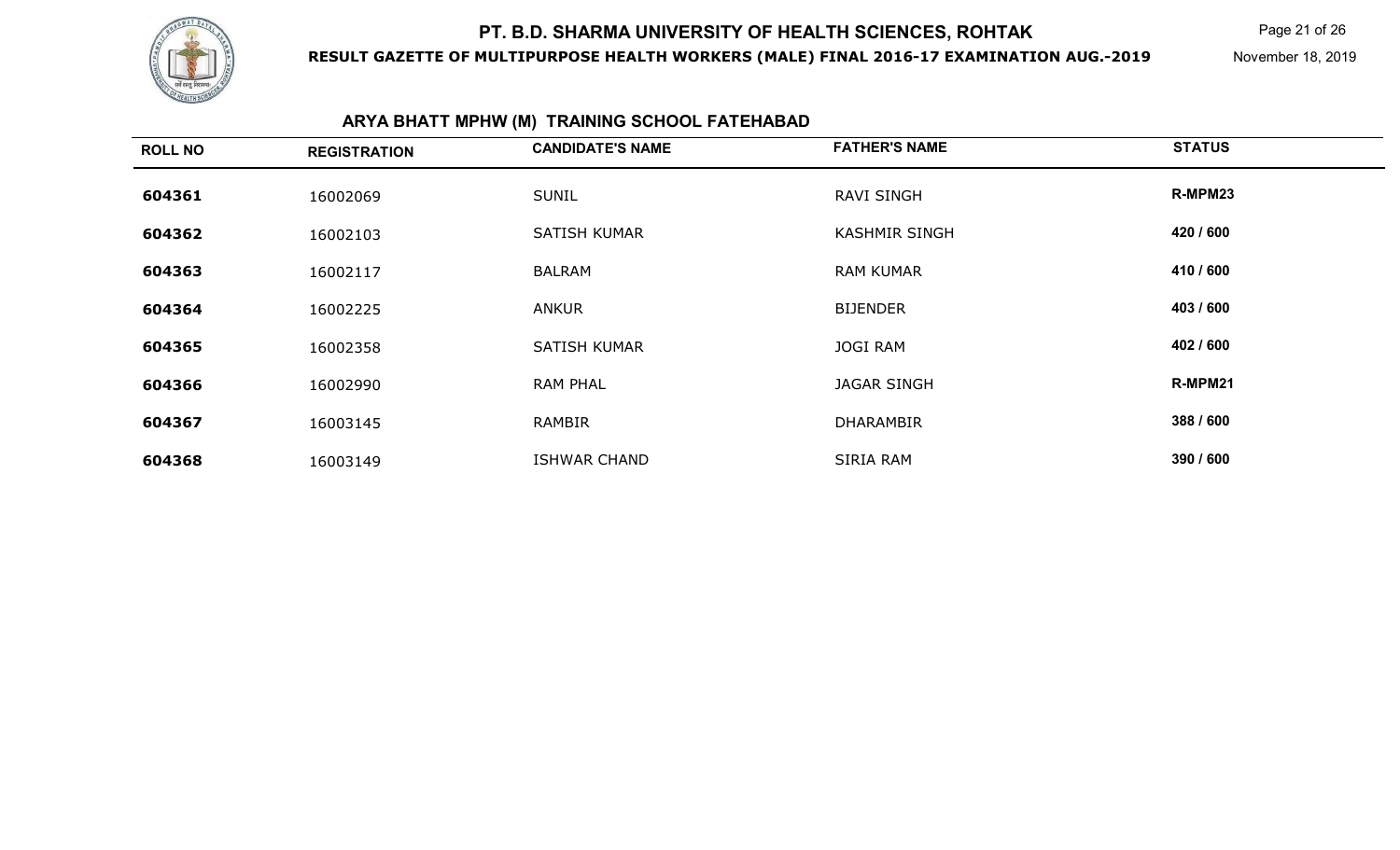

**RESULT GAZETTE OF MULTIPURPOSE HEALTH WORKERS (MALE) FINAL 2016-17 EXAMINATION AUG.-2019**

Page 21 of 26

November 18, 2019

# **ARYA BHATT MPHW (M) TRAINING SCHOOL FATEHABAD**

| <b>ROLL NO</b> | <b>REGISTRATION</b> | <b>CANDIDATE'S NAME</b> | <b>FATHER'S NAME</b> | <b>STATUS</b> |
|----------------|---------------------|-------------------------|----------------------|---------------|
| 604361         | 16002069            | <b>SUNIL</b>            | <b>RAVI SINGH</b>    | R-MPM23       |
| 604362         | 16002103            | <b>SATISH KUMAR</b>     | <b>KASHMIR SINGH</b> | 420 / 600     |
| 604363         | 16002117            | <b>BALRAM</b>           | <b>RAM KUMAR</b>     | 410 / 600     |
| 604364         | 16002225            | <b>ANKUR</b>            | <b>BIJENDER</b>      | 403 / 600     |
| 604365         | 16002358            | <b>SATISH KUMAR</b>     | <b>JOGI RAM</b>      | 402 / 600     |
| 604366         | 16002990            | <b>RAM PHAL</b>         | <b>JAGAR SINGH</b>   | R-MPM21       |
| 604367         | 16003145            | RAMBIR                  | <b>DHARAMBIR</b>     | 388 / 600     |
| 604368         | 16003149            | <b>ISHWAR CHAND</b>     | SIRIA RAM            | 390 / 600     |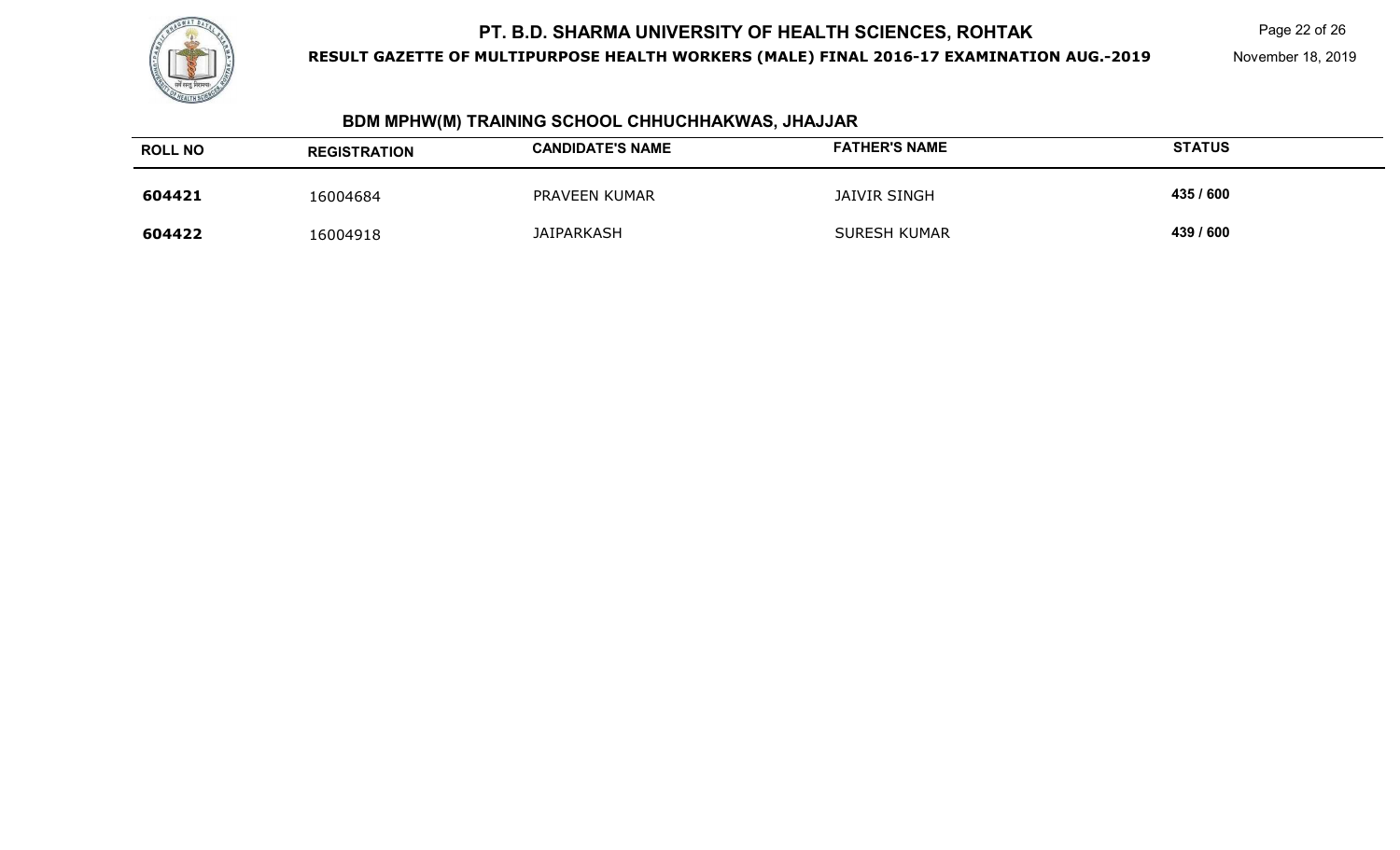

**RESULT GAZETTE OF MULTIPURPOSE HEALTH WORKERS (MALE) FINAL 2016-17 EXAMINATION AUG.-2019**

Page 22 of 26

November 18, 2019

## **BDM MPHW(M) TRAINING SCHOOL CHHUCHHAKWAS, JHAJJAR**

| <b>ROLL NO</b> | <b>REGISTRATION</b> | <b>CANDIDATE'S NAME</b> | <b>FATHER'S NAME</b> | <b>STATUS</b> |
|----------------|---------------------|-------------------------|----------------------|---------------|
| 604421         | 16004684            | PRAVEEN KUMAR           | JAIVIR SINGH         | 435 / 600     |
| 604422         | 16004918            | <b>JAIPARKASH</b>       | <b>SURESH KUMAR</b>  | 439 / 600     |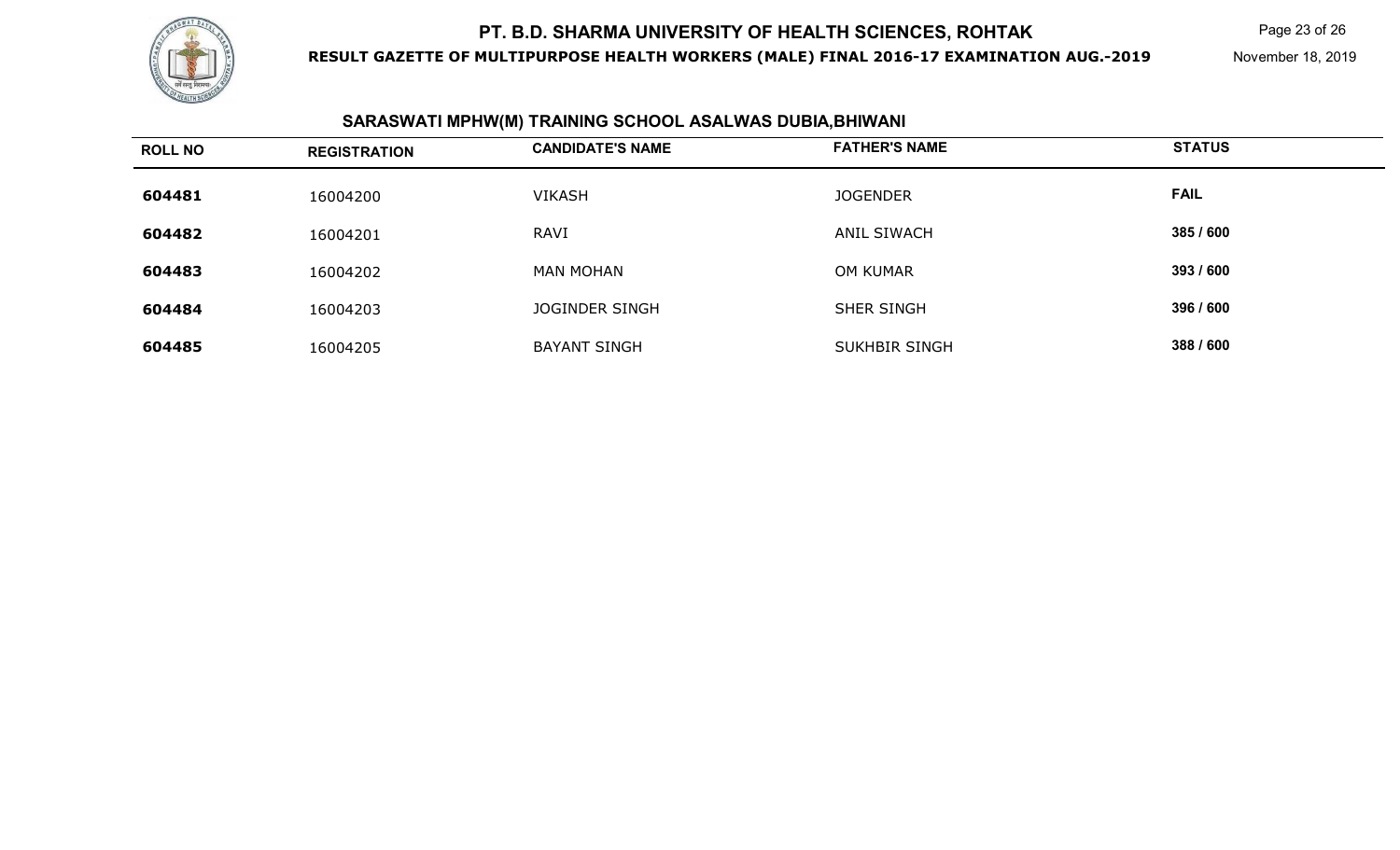

**RESULT GAZETTE OF MULTIPURPOSE HEALTH WORKERS (MALE) FINAL 2016-17 EXAMINATION AUG.-2019**

Page 23 of 26

November 18, 2019

#### **SARASWATI MPHW(M) TRAINING SCHOOL ASALWAS DUBIA,BHIWANI**

| <b>ROLL NO</b> | <b>REGISTRATION</b> | <b>CANDIDATE'S NAME</b> | <b>FATHER'S NAME</b> | <b>STATUS</b> |
|----------------|---------------------|-------------------------|----------------------|---------------|
| 604481         | 16004200            | <b>VIKASH</b>           | <b>JOGENDER</b>      | <b>FAIL</b>   |
| 604482         | 16004201            | RAVI                    | ANIL SIWACH          | 385 / 600     |
| 604483         | 16004202            | <b>MAN MOHAN</b>        | OM KUMAR             | 393 / 600     |
| 604484         | 16004203            | <b>JOGINDER SINGH</b>   | SHER SINGH           | 396 / 600     |
| 604485         | 16004205            | <b>BAYANT SINGH</b>     | <b>SUKHBIR SINGH</b> | 388 / 600     |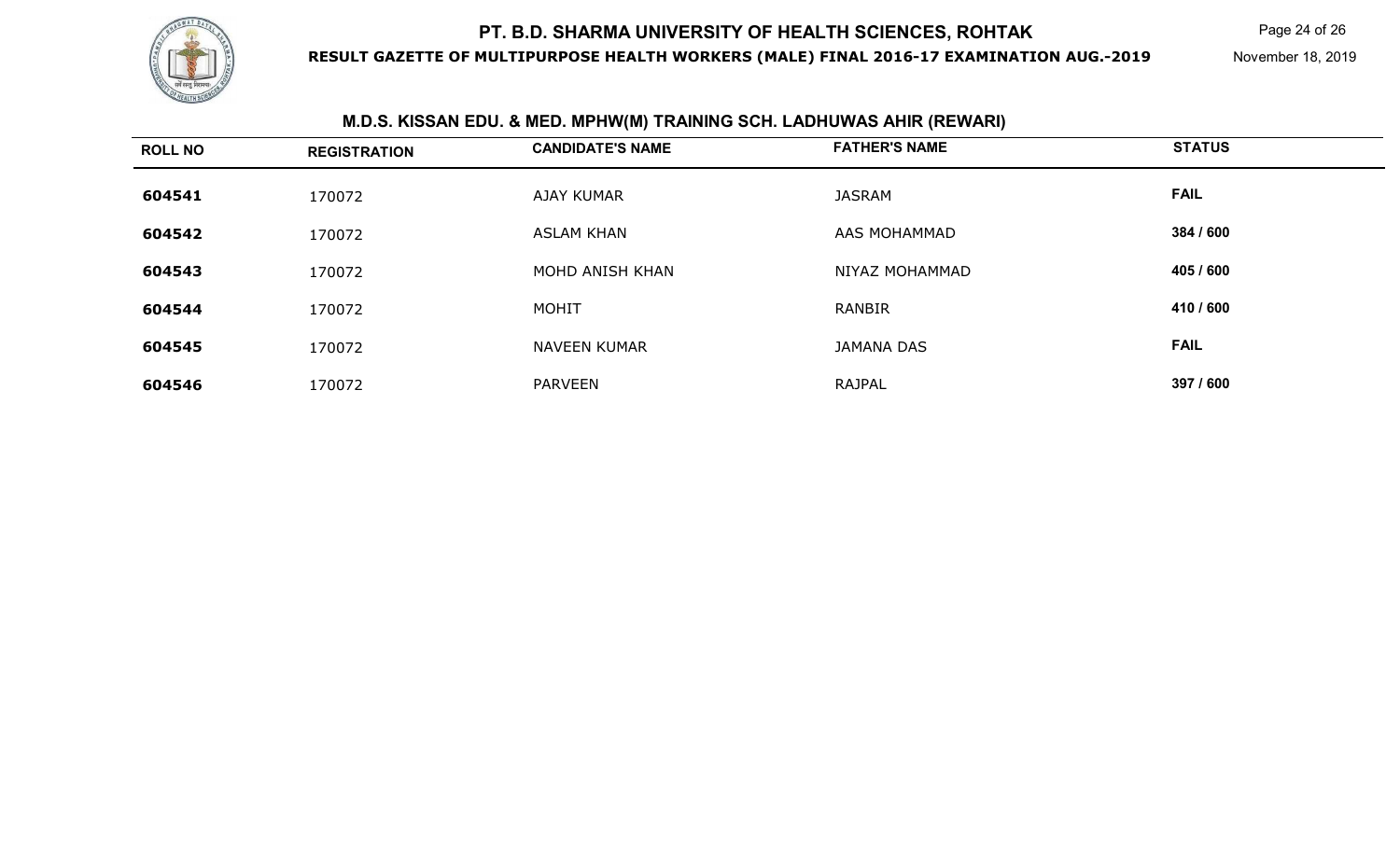

**RESULT GAZETTE OF MULTIPURPOSE HEALTH WORKERS (MALE) FINAL 2016-17 EXAMINATION AUG.-2019**

Page 24 of 26

November 18, 2019

| <b>ROLL NO</b> | <b>REGISTRATION</b> | <b>CANDIDATE'S NAME</b> | <b>FATHER'S NAME</b> | <b>STATUS</b> |
|----------------|---------------------|-------------------------|----------------------|---------------|
| 604541         | 170072              | <b>AJAY KUMAR</b>       | <b>JASRAM</b>        | <b>FAIL</b>   |
| 604542         | 170072              | <b>ASLAM KHAN</b>       | AAS MOHAMMAD         | 384 / 600     |
| 604543         | 170072              | MOHD ANISH KHAN         | NIYAZ MOHAMMAD       | 405 / 600     |
| 604544         | 170072              | <b>MOHIT</b>            | <b>RANBIR</b>        | 410 / 600     |
| 604545         | 170072              | <b>NAVEEN KUMAR</b>     | <b>JAMANA DAS</b>    | <b>FAIL</b>   |
| 604546         | 170072              | <b>PARVEEN</b>          | <b>RAJPAL</b>        | 397 / 600     |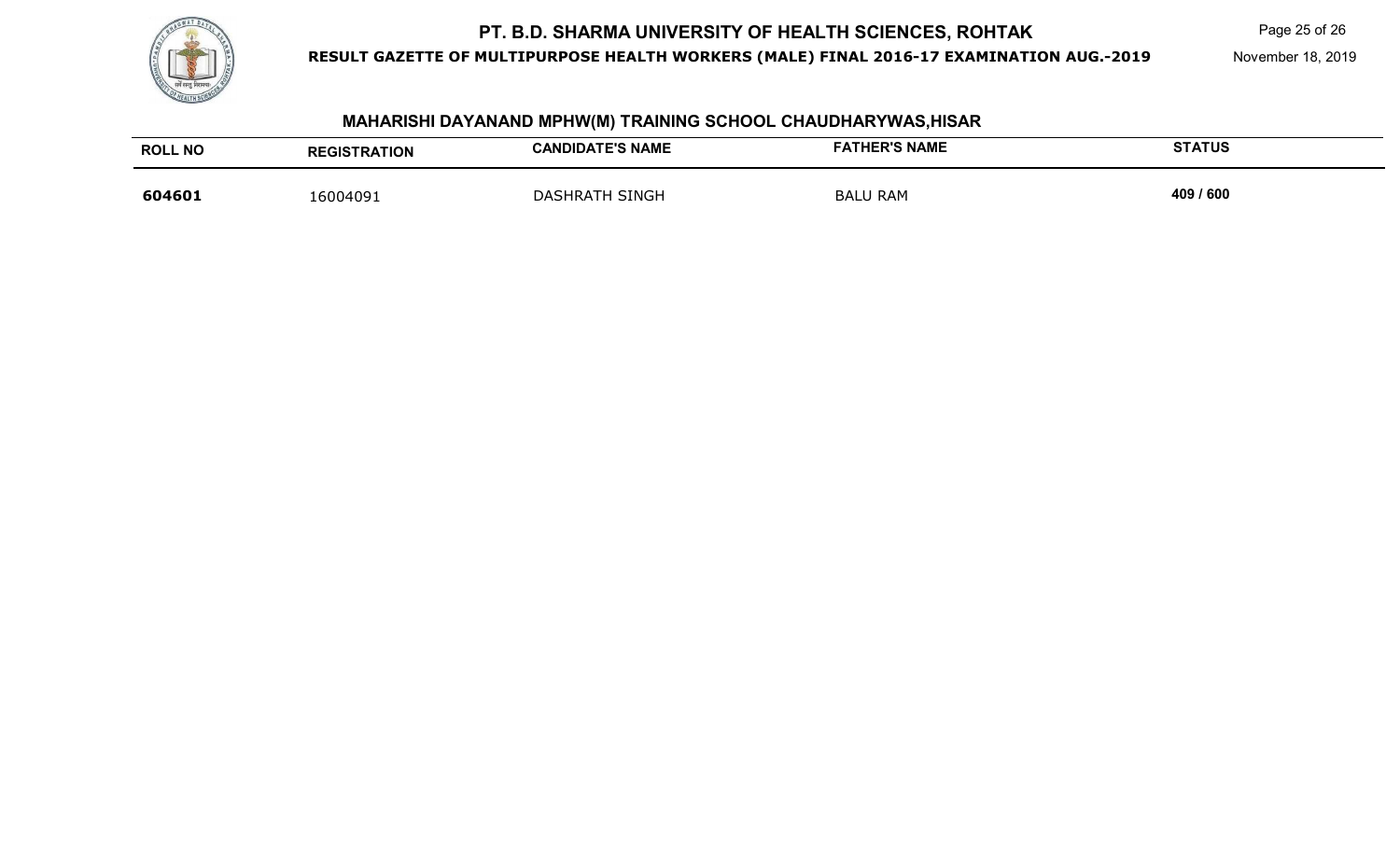

**RESULT GAZETTE OF MULTIPURPOSE HEALTH WORKERS (MALE) FINAL 2016-17 EXAMINATION AUG.-2019**

Page 25 of 26

November 18, 2019

## **MAHARISHI DAYANAND MPHW(M) TRAINING SCHOOL CHAUDHARYWAS,HISAR**

| <b>ROLL NO</b> | <b>REGISTRATION</b> | <b>CANDIDATE'S NAME</b>  | <b>FATHER'S NAME</b> | <b>STATUS</b> |
|----------------|---------------------|--------------------------|----------------------|---------------|
| 604601         | 16004091            | SINGH<br><b>DASHRATH</b> | <b>BALU RAM</b>      | 409 / 600     |